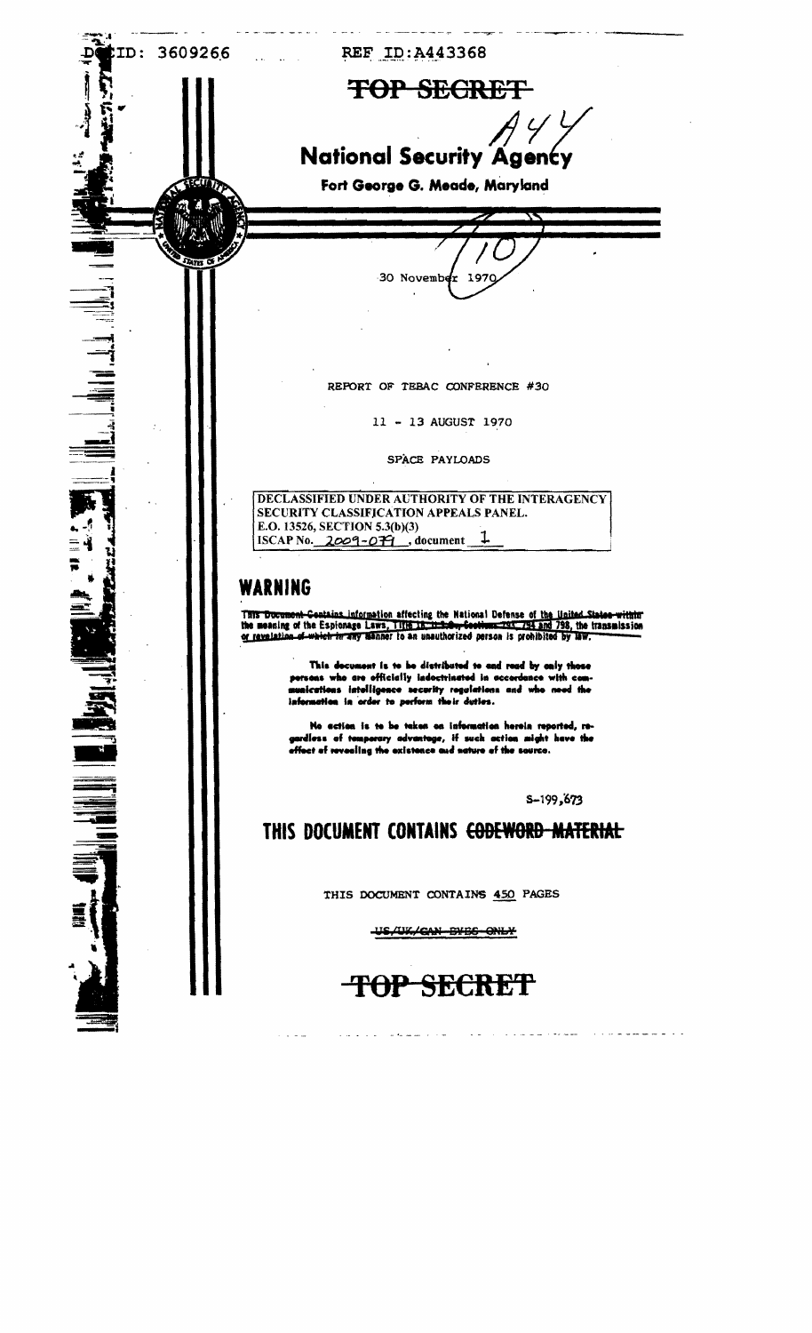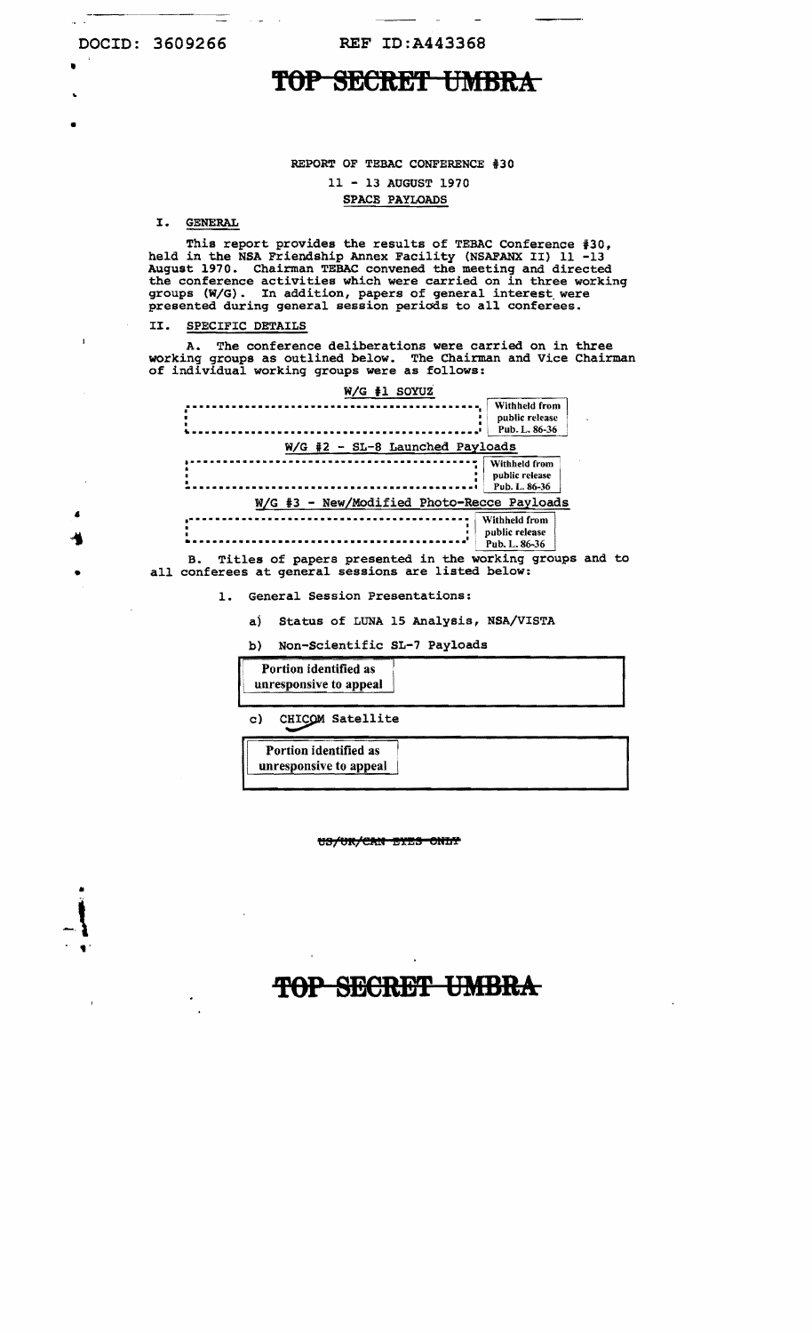.<br>•

•

 $\mathbf{I}$ 

 $\lrcorner$ 

# TOP SECRET UMBRA

#### REPORT OF TEBAC CONFERENCE #30

## 11 - 13 AUGUST 1970 SPACE PAYLOADS

#### I. GENERAL

This report provides the results of TEBAC Conference #30, held in the NSA Friendship Annex Facility (NSAFANX II) 11 -13 August 1970. Chairman TEBAC convened the meeting and directed the conference activities which were carried on in three working groups *(WIG).* In addition, papers of general interest. were presented during general session periods to all conferees.

#### II. SPECIFIC DETAILS

 $\mathbb{R}^2$ 

A. The conference deliberations were carried on in three working groups as outlined below. The Chairman and Vice Chairman of individual working groups were as follows:

| W/G #1 SOYUZ                                     |
|--------------------------------------------------|
| Withheld from<br>public release<br>Pub. L. 86-36 |
| W/G #2 - SL-8 Launched Payloads                  |
| Withheld from<br>public release<br>Pub. L. 86-36 |
| W/G #3 - New/Modified Photo-Recce Payloads       |
| Withheld from<br>public release<br>Pub. L. 86-36 |

B. Titles of papers presented in the working groups and to all conferees at general sessions are listed below:

1. General Session Presentations:

aj Status of LUNA 15 Analysis, NSA/VISTA

b) Non-Scientific SL-7 payloads

| Portion identified as<br>unresponsive to appeal |  |
|-------------------------------------------------|--|
| CHICOM Satellite<br>c)                          |  |
| Portion identified as<br>unresponsive to appeal |  |

US/UK/CAN EYES ONLY

# TOP SECRET UMBRA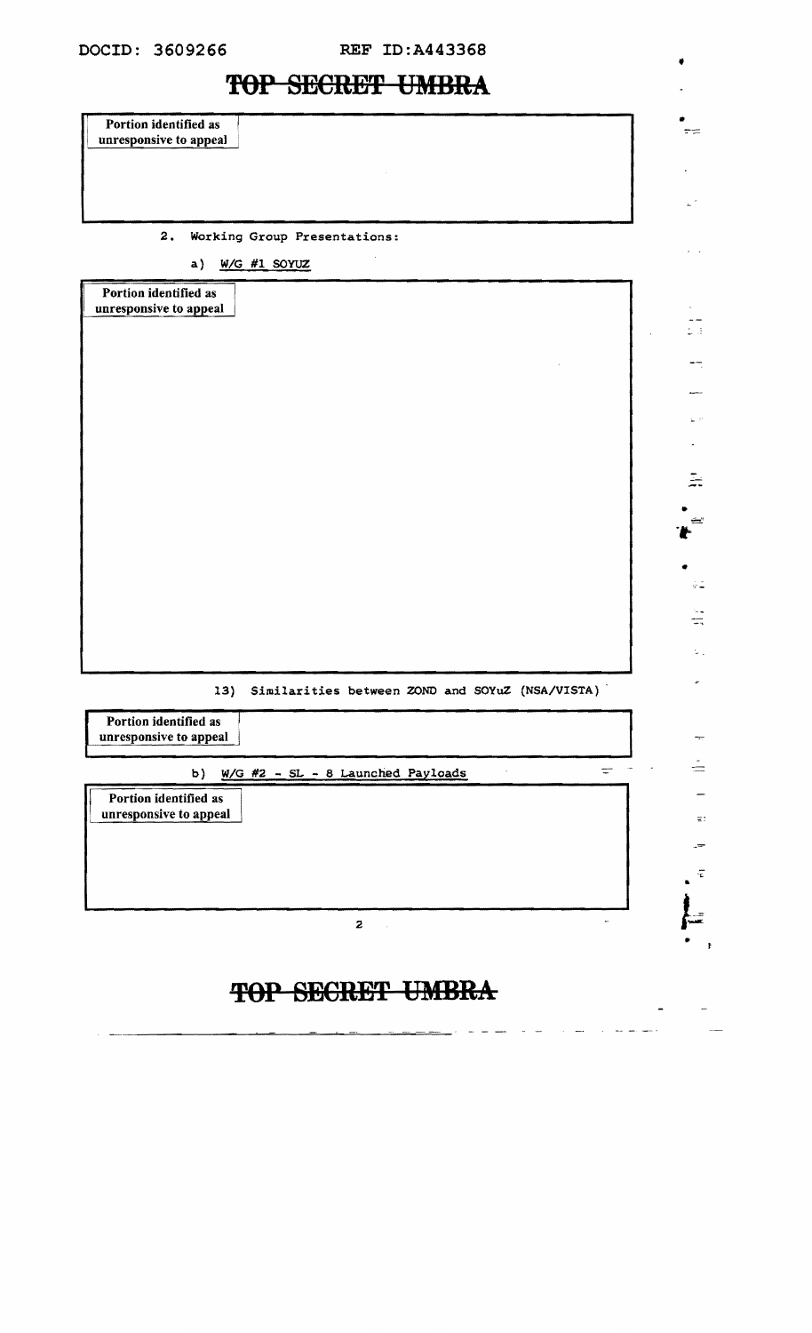| TAI DEATRAIL CHIDIAY                                   |                                               |
|--------------------------------------------------------|-----------------------------------------------|
| Portion identified as<br>unresponsive to appeal        |                                               |
|                                                        |                                               |
|                                                        |                                               |
| Working Group Presentations:<br>2.                     |                                               |
| a) $W/G$ #1 SOYUZ                                      |                                               |
| Portion identified as<br>unresponsive to appeal        |                                               |
|                                                        |                                               |
|                                                        |                                               |
|                                                        |                                               |
|                                                        |                                               |
|                                                        |                                               |
|                                                        |                                               |
|                                                        |                                               |
|                                                        |                                               |
|                                                        |                                               |
|                                                        |                                               |
| Similarities between ZOND and SOYuZ (NSA/VISTA)<br>13) |                                               |
| Portion identified as<br>unresponsive to appeal        |                                               |
| $W/G$ #2 - SL - 8 Launched Payloads<br>b)              | $\frac{1}{\sqrt{2}}$ and $\frac{1}{\sqrt{2}}$ |
| Portion identified as<br>unresponsive to appeal        |                                               |
|                                                        |                                               |
|                                                        |                                               |
|                                                        |                                               |

••

•

 $\frac{1}{2}$  .

 $\frac{1}{4\pi}$ 

 $\overline{\phantom{0}}$ 

÷

 $\Xi$ :

 $\cdot E$ •

•

 $\overline{\phantom{a}}$ 

 $\mathcal{L}^{\text{max}}$ 

 $\sim$   $\sim$ 

المسترابين المترابين

•

 $\omega_{\rm c}$  $\frac{1}{\sqrt{3}}$ 

 $\rightarrow$ 

gija.<br>A

 $\mathbb{R}$ 

 $\bullet$ 

**TOP SECRET UMBRA** 

 $\overline{2}$   $\overline{1}$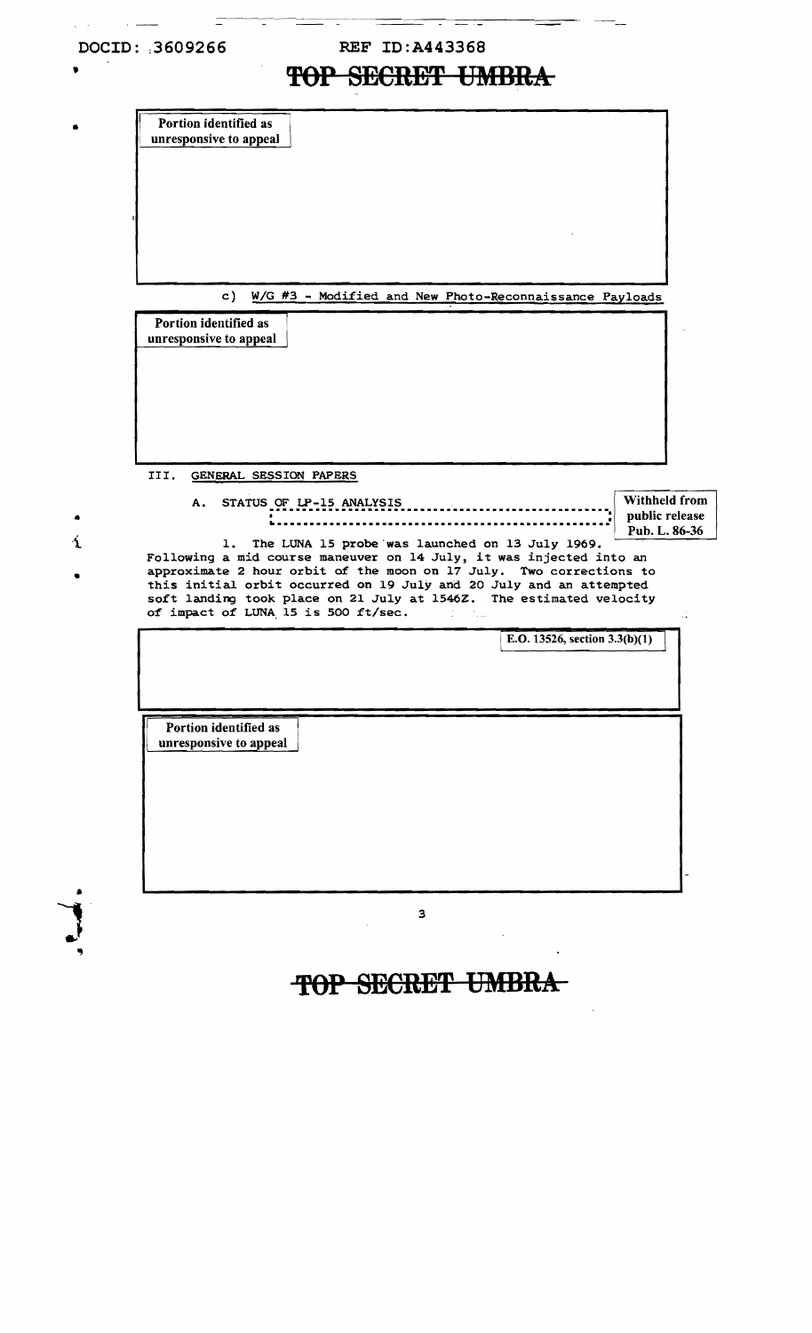## **DOClD:** :**3 60 92 6 6 REF lD:A443368**

## **TOP SECRET UMBRA**

Portion identified as<br>unresponsive to appeal

c) *W/G #3 - Modified and New Photo-Reconnaissance Payloads* 

Portion identified as unresponsive to appeal

III. GENERAL SESSION PAPERS

A. STATUS **.** OF **••.•..•..•.•..•..•.•..•....•..•..•.•..•..•.•..•..•.•** LP-15 ANALYSIS Withheld from public release ~ .•..•..•.•..•..•-...•..•....•..•....•..•....•..•..:

Pub. L. 86-36

1

E.O. 13526, section  $3.3(b)(1)$ 

Á

•

•

•

1. The LUNA 15 probe 'was launched on 13 July 1969. Following a mid course maneuver on 14 July, it was injected into an approximate 2 hour orbit of the moon on 17 July. Two corrections to this initial orbit occurred on 19 July and 20 July and an attempted so£t landing took place on 21 July at l546Z. The estimated velocity of impact of LUNA<sub>15</sub> is 500 ft/sec.

Portion identified as unresponsive to appeal I

3

## **TOP SECRET UMBRA**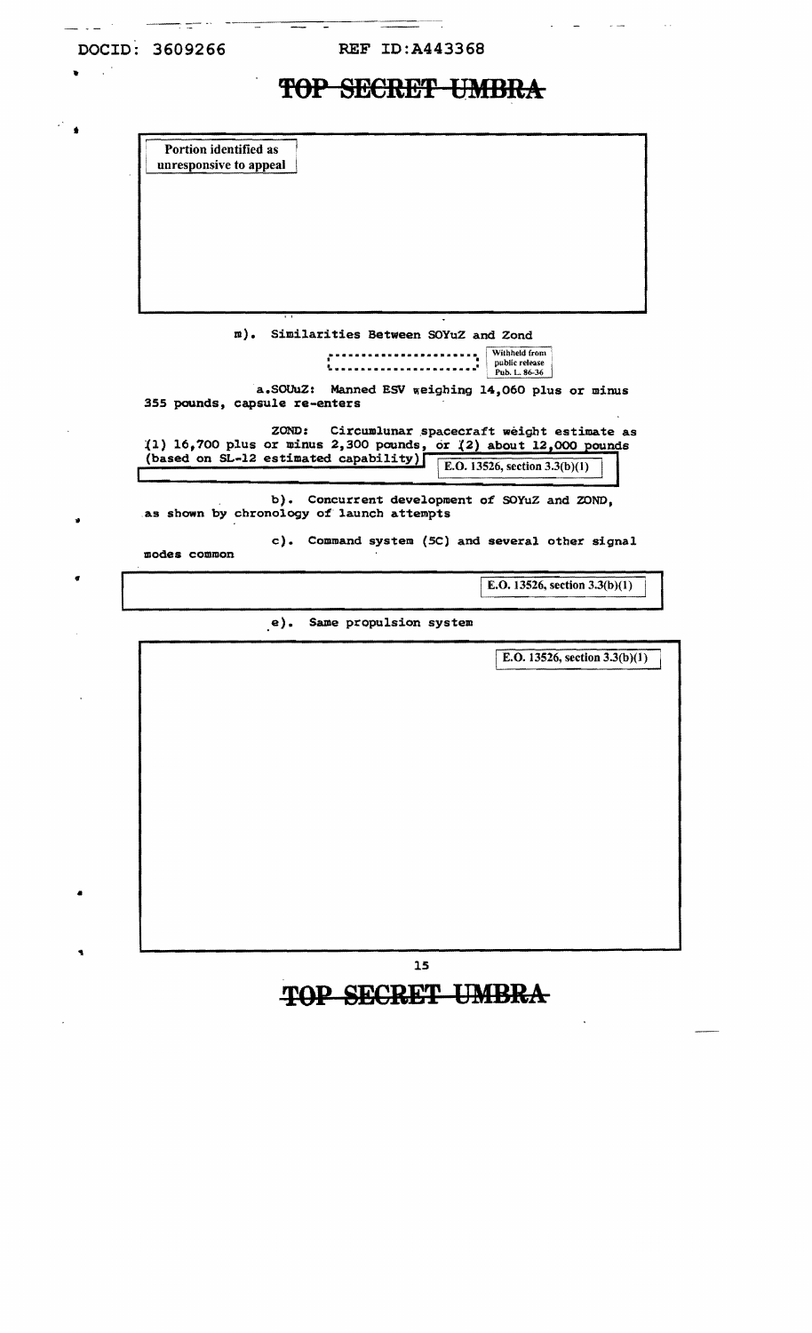t

 $\star$   $^*$ 

•

| <b>TAD CEADER INDDA</b><br>IUI DEUIDEI UNIDIDA |  |
|------------------------------------------------|--|
|                                                |  |

Portion identified as unresponsive to appeal

III) • Similarities Between SOYuZ and Zond

**•.•..•..•..•..•..•.••.•** Withheld from ' • • public release i ~ ..................... **Public release**<br> **Pub. L. 86-36**<br>
Pub. L. 86-36

a.SOUuZ: Manned ESV weighing 14,060 plus or minus *355* pounds, capsule re-enters

ZOND: Circumlunar spacecraft weight estimate as  $(1)$  16,700 plus or minus 2,300 pounds, or  $(2)$  about 12,000 (based on SL-12 estimated capability

E.O. 13526, section  $3.3(b)(1)$ 

b). Concurrent development of SOYuZ and ZOND, as shown by chronology of launch attempts

c). Command system (5C) and several other signal

modes common

IE.O. 13526, section 3.3(b)(1)

e). Same propulsion system

IE.O. 13526, section 3.3(b)(l)

**TOP SECRET UMBRA** 

IS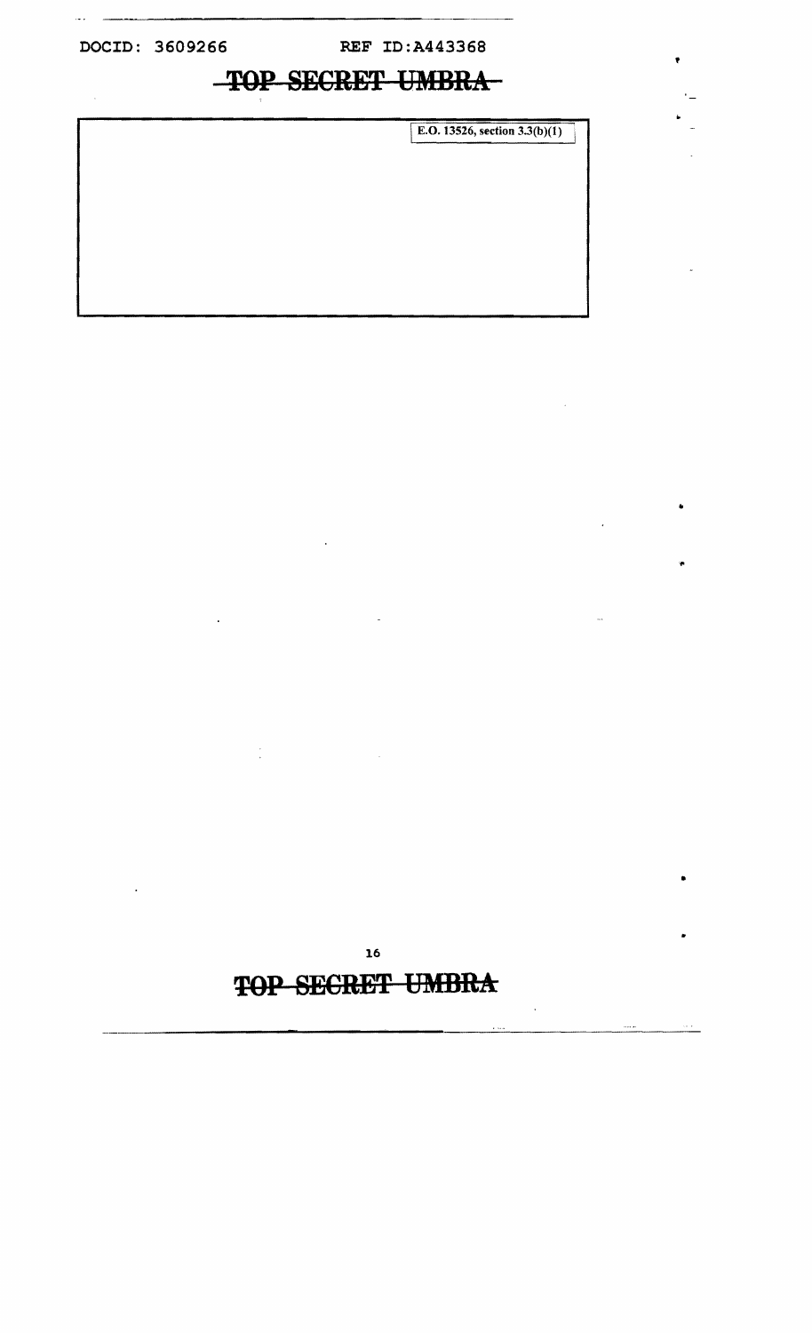# **TQP SECRET UMBRA**

E.O. 13526, section  $3.3(b)(1)$ 

,

•

 $\frac{1}{2}$ 

# **TOP SECRET UMBRA**

 $\ddot{\phantom{a}}$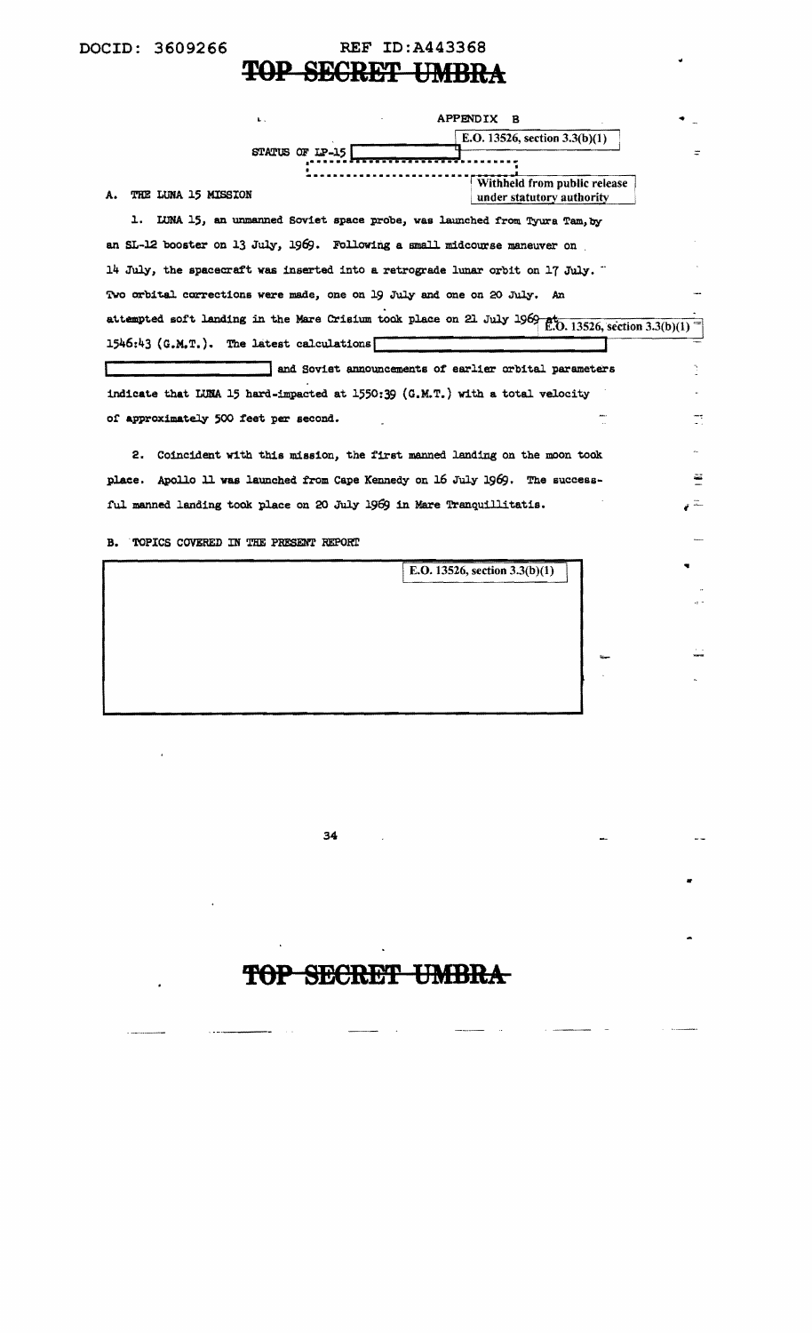# **TOP SECRET UMBRA**

| $\mathbf{L}$ .                                                                                                    | APPENDIX<br>в                                          |
|-------------------------------------------------------------------------------------------------------------------|--------------------------------------------------------|
|                                                                                                                   | E.O. 13526, section $3.3(b)(1)$                        |
| STATUS OF IP-15                                                                                                   |                                                        |
|                                                                                                                   | Withheld from public release                           |
| THE LUNA 15 MISSION<br>А.                                                                                         | under statutory authority                              |
| LUNA 15, an unmanned Soviet space probe, was launched from Tyura Tam, by<br>ı.                                    |                                                        |
| an SL-12 booster on 13 July, 1969. Following a small midcourse maneuver on                                        |                                                        |
| 14 July, the spacecraft was inserted into a retrograde lunar orbit on 17 July. $\ddot{\,}$                        |                                                        |
| Two orbital corrections were made, one on 19 July and one on 20 July. An                                          |                                                        |
| attempted soft landing in the Mare Crisium took place on 21 July 1969 $\frac{1}{E}$ . (0.13526, section 3.3(b)(1) |                                                        |
| 1546:43 (G.M.T.). The latest calculations                                                                         |                                                        |
|                                                                                                                   | and Soviet announcements of earlier orbital parameters |
| indicate that LUNA 15 hard-impacted at 1550:39 (G.M.T.) with a total velocity                                     |                                                        |
| of approximately 500 feet per second.                                                                             |                                                        |
| Coincident with this mission, the first manned landing on the moon took<br>2.                                     |                                                        |
| place. Apollo 11 was launched from Cape Kennedy on 16 July 1969. The success-                                     |                                                        |
|                                                                                                                   |                                                        |
| ful manned landing took place on 20 July 1969 in Mare Tranquillitatis.                                            |                                                        |
| TOPICS COVERED IN THE PRESENT REPORT<br>в.                                                                        |                                                        |
|                                                                                                                   | E.O. 13526, section 3.3(b)(1)                          |
|                                                                                                                   |                                                        |
|                                                                                                                   |                                                        |
|                                                                                                                   |                                                        |
|                                                                                                                   |                                                        |
|                                                                                                                   |                                                        |
|                                                                                                                   |                                                        |
|                                                                                                                   |                                                        |
|                                                                                                                   |                                                        |

34

 $\mathbf{v}$ 

-- $\sim$   $\sim$ 

 $\star$ 

# **'fOP SECRET UMBRA**

 $\sim$   $\sim$ 

•

 $\sim$   $\sim$ 

 $\sim$   $\sim$ 

 $\overline{\phantom{m}}$ 

 $\sim$ 

 $\sim$   $\sim$ 

 $\sim$   $\alpha$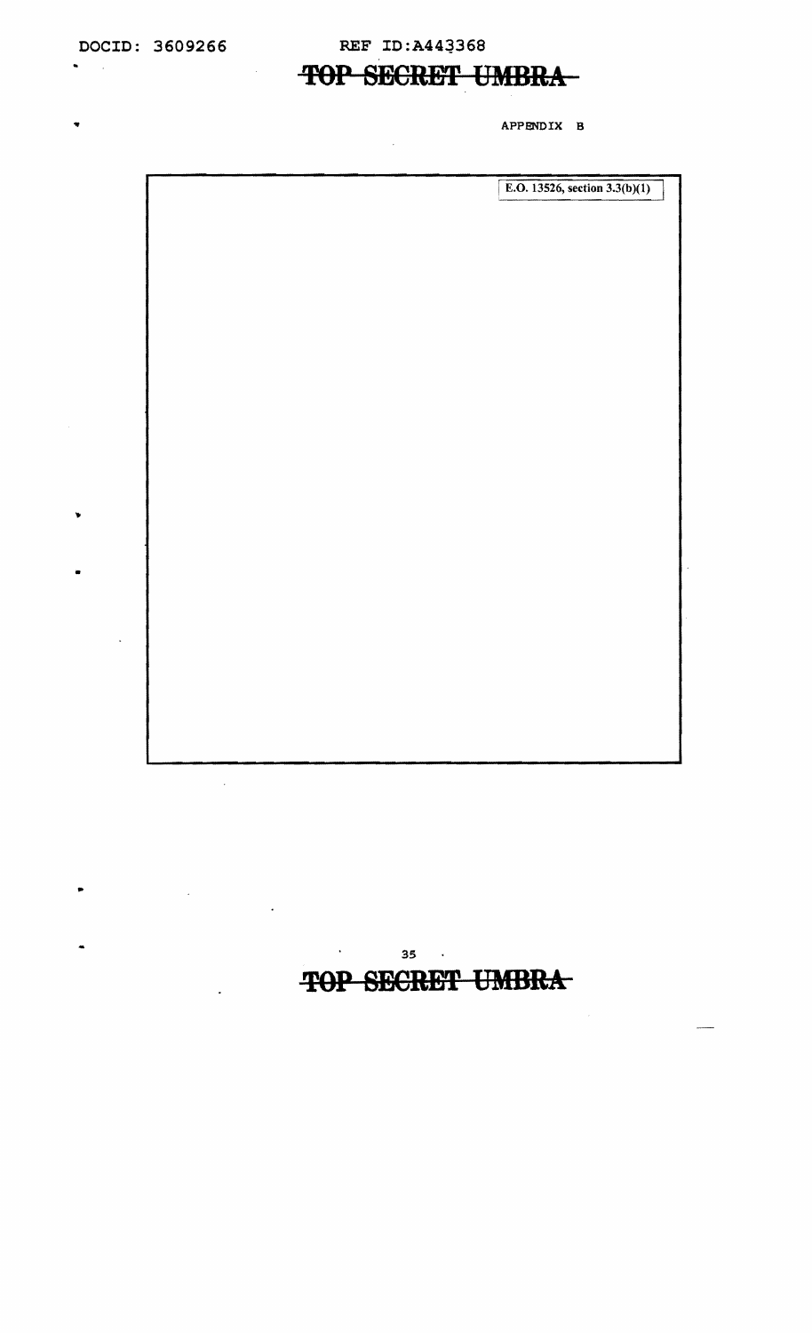$\blacksquare$  $\sim$   $\sim$ 

 $\overline{\mathbf{v}}$ 

•

¥

..

## **DOCID: 3609266 REF ID:A443368**

## **TOP SECRET UMBRA-**

APPENDIX B

 $\mathcal{L}(\mathbf{A})$  and  $\mathcal{L}(\mathbf{A})$  and

**TOP SECRET UMBRA** 

 $\sim$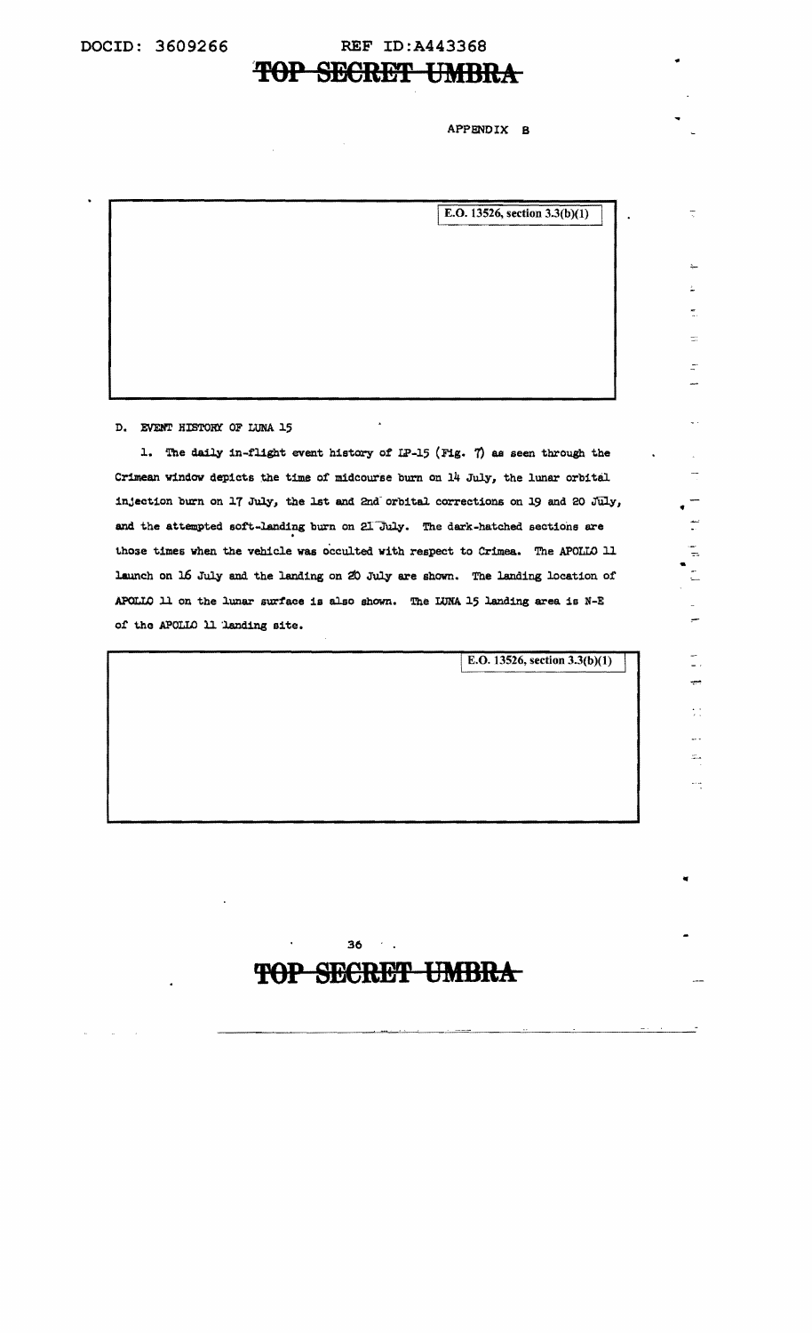# **TOP SECRET UMBRA**

#### APPENDIX B

|  | E.O. 13526, section $3.3(b)(1)$<br>$\bullet$ |
|--|----------------------------------------------|
|  |                                              |
|  |                                              |
|  |                                              |
|  |                                              |
|  |                                              |
|  |                                              |
|  |                                              |
|  |                                              |
|  |                                              |

D. EVENT HISTORY OF LUNA 15

1. The daily in-flight event history of IP-15 (Fig. 7) as seen through the Crimean window depicts the time of midcourse burn on  $14$  July, the lunar orbital injection burn on 17 July, the 1st and 2nd orbital corrections on 19 and 20 July, and the attempted soft-landing burn on 2l July. The dark-hatched sections are those times when the vehicle was occulted with respect to Crimea. The APOLLO 11 launch on 16 July and the landing on 20 July are shown. The landing location of APOLLO 11 on the lunar surface is also shown. The LUNA 15 landing area is  $N-E$ of the APOLLO 11 landing site.

E.O. 13526, section  $3.3(b)(1)$ 

# ÷÷

 $\frac{1}{\pi}$ 

 $\frac{1}{2}$ 

..

**'fOP SECRET UMBRA** 

36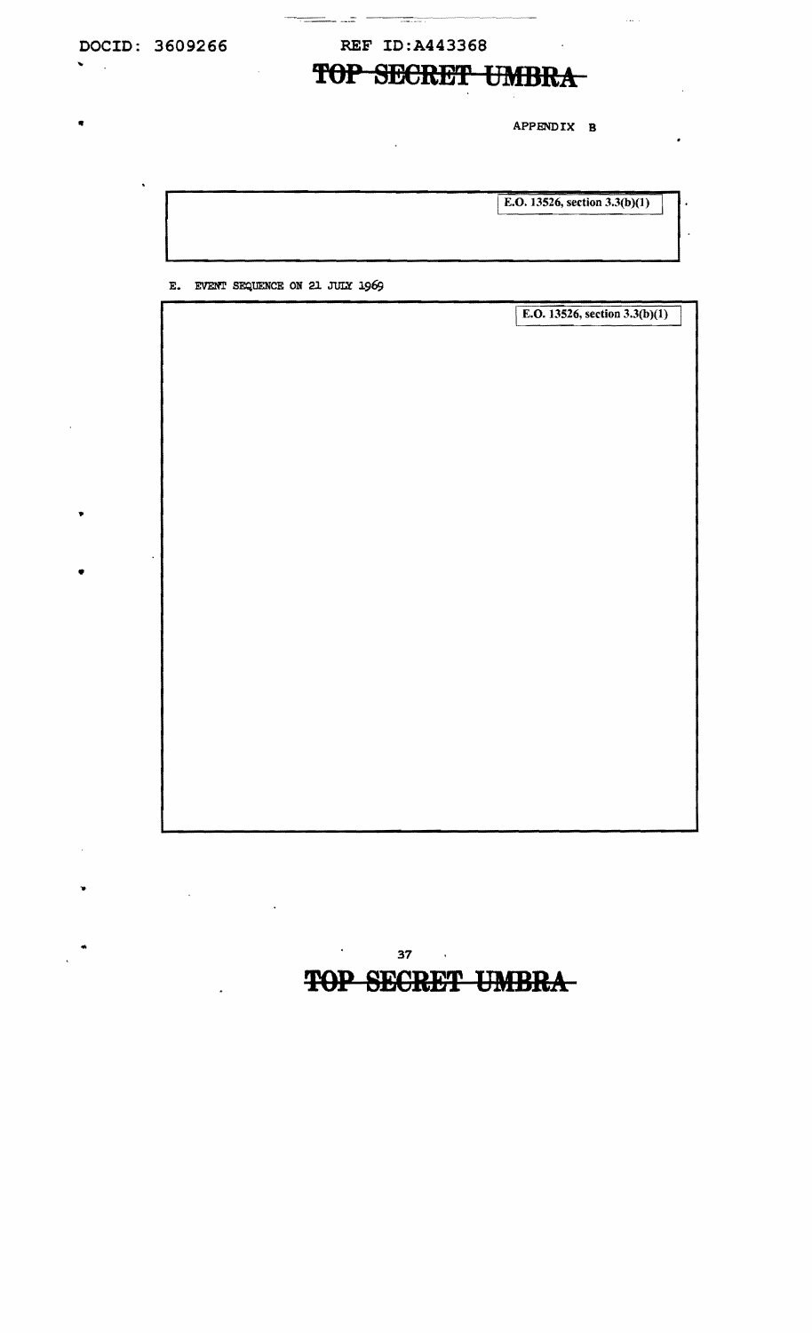$\hat{\mathbf{v}}$ 

 $\hat{\mathbf{q}}$ 

٠

 $\bullet$ 

 $\mathbb{R}^2$ 

## REF ID: A443368

<del>- 200</del> - 200

# TOP SECRET UMBRA

APPENDIX B

المتلاب

|                                                  | E.O. 13526, section 3.3(b)(1) |
|--------------------------------------------------|-------------------------------|
|                                                  |                               |
| EVENT SEQUENCE ON 21 JULY 1969<br>$\mathbf{E}$ . |                               |
|                                                  | E.O. 13526, section 3.3(b)(1) |
|                                                  |                               |
|                                                  |                               |
|                                                  |                               |
|                                                  |                               |
|                                                  |                               |
|                                                  |                               |
|                                                  |                               |
|                                                  |                               |
|                                                  |                               |
|                                                  |                               |
|                                                  |                               |
|                                                  |                               |
|                                                  |                               |
|                                                  |                               |
|                                                  |                               |
|                                                  |                               |

 $37 \cdot \cdot$ 

 $\mathcal{L}^{\text{max}}_{\text{max}}$  . The  $\mathcal{L}^{\text{max}}_{\text{max}}$ 

 $\ddot{\phantom{a}}$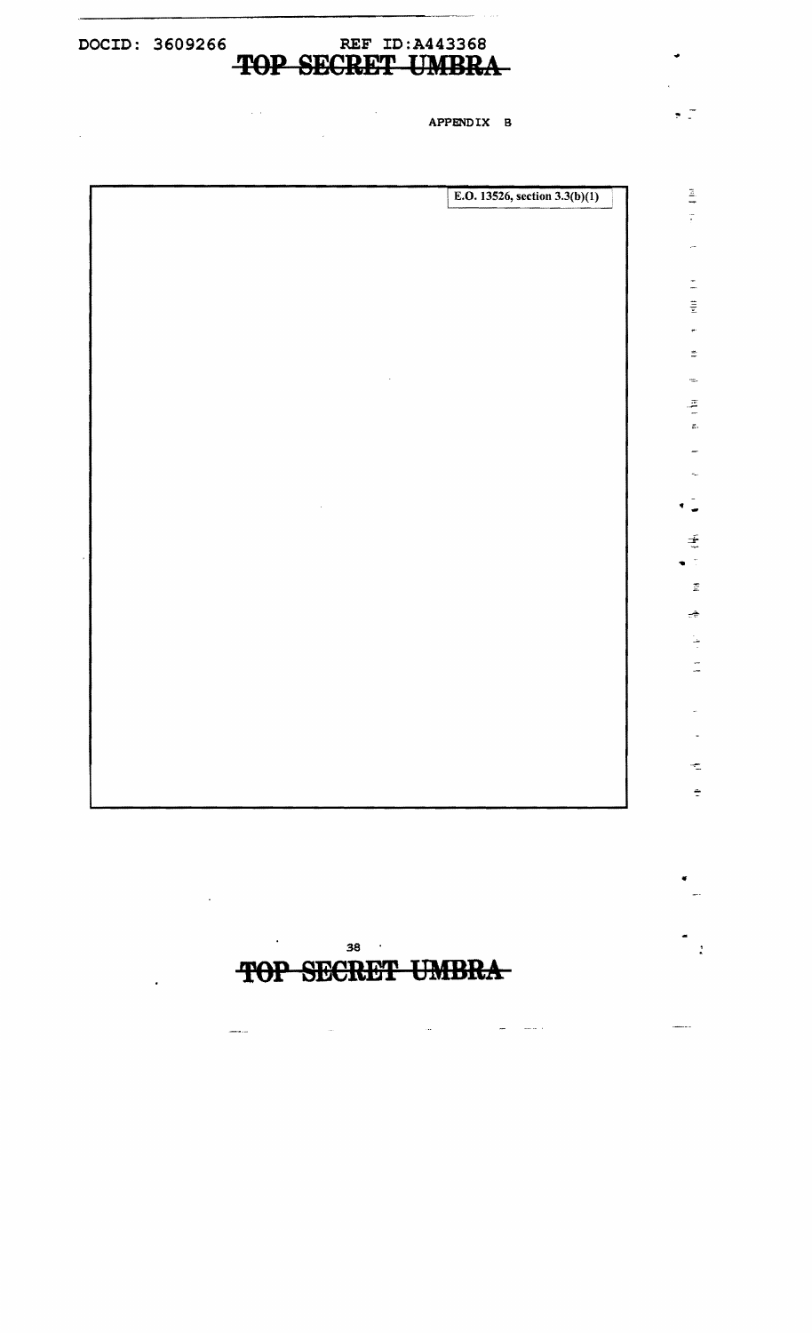**DOCID: 3609266 REF ID:A443368 TOP SECRET UMBRA** 

 $\ddot{\phantom{a}}$ 

 $\sim 10$ 

 $\alpha$  ,  $\alpha$ 

APPENDIX B

..

 $\pm$ 

 $\Xi$ 

÷

ł  $\frac{1}{2}$ 

÷  $\frac{1}{\pi}$ 

 $\ddot{\cdot}$ 

 $\bullet$  .  $\overline{\phantom{a}}$ 

 $\Xi$ ÷

> $\frac{4}{1}$  $\frac{1}{2}$  $\mathbf{r}^{\mathrm{c}}$  $\Xi$

÷,

 $\frac{z}{z}$  $\tilde{\Xi}$ 

E.O. 13526, section  $3.3(b)(1)$  $\sim 10^7$ 

> 38 . **TOP SECRET UMBRA**

> > $\sim$   $\sim$

 $\label{eq:1} \frac{1}{\sqrt{2\pi}}\int_{0}^{\pi} \frac{1}{\sqrt{2\pi}}\left(\frac{1}{\sqrt{2\pi}}\right)^{2} \frac{1}{\sqrt{2\pi}}\left(\frac{1}{\sqrt{2\pi}}\right)^{2} \frac{1}{\sqrt{2\pi}}\int_{0}^{\pi} \frac{1}{\sqrt{2\pi}}\frac{1}{\sqrt{2\pi}}\frac{1}{\sqrt{2\pi}}\frac{1}{\sqrt{2\pi}}\frac{1}{\sqrt{2\pi}}\frac{1}{\sqrt{2\pi}}\frac{1}{\sqrt{2\pi}}\frac{1}{\sqrt{2\pi}}\frac{1}{\sqrt{2\pi$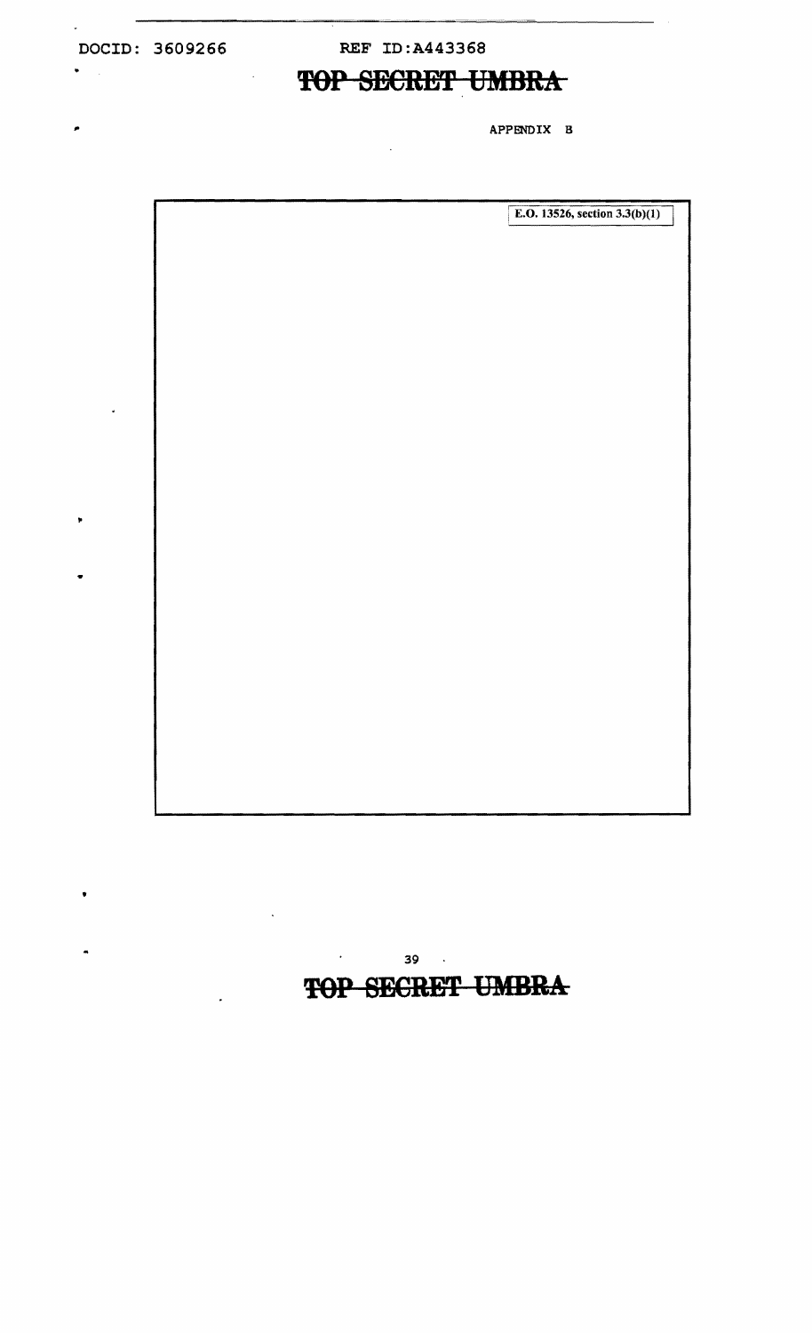$\pmb{\ast}$ 

è

•

**DOCID: 3609266 REF ID:A443368** 

 $\ddot{\phantom{a}}$ 

# • **TOP SECRET UMBRA**

APPENDIX B

| E.O. 13526, section $3.3(b)(1)$ |
|---------------------------------|
|                                 |
|                                 |
|                                 |
|                                 |
|                                 |
|                                 |
|                                 |
|                                 |
|                                 |
|                                 |
|                                 |
|                                 |
|                                 |
|                                 |
|                                 |
|                                 |
|                                 |
|                                 |
|                                 |
|                                 |
|                                 |
|                                 |
|                                 |
|                                 |
|                                 |

 $39$  .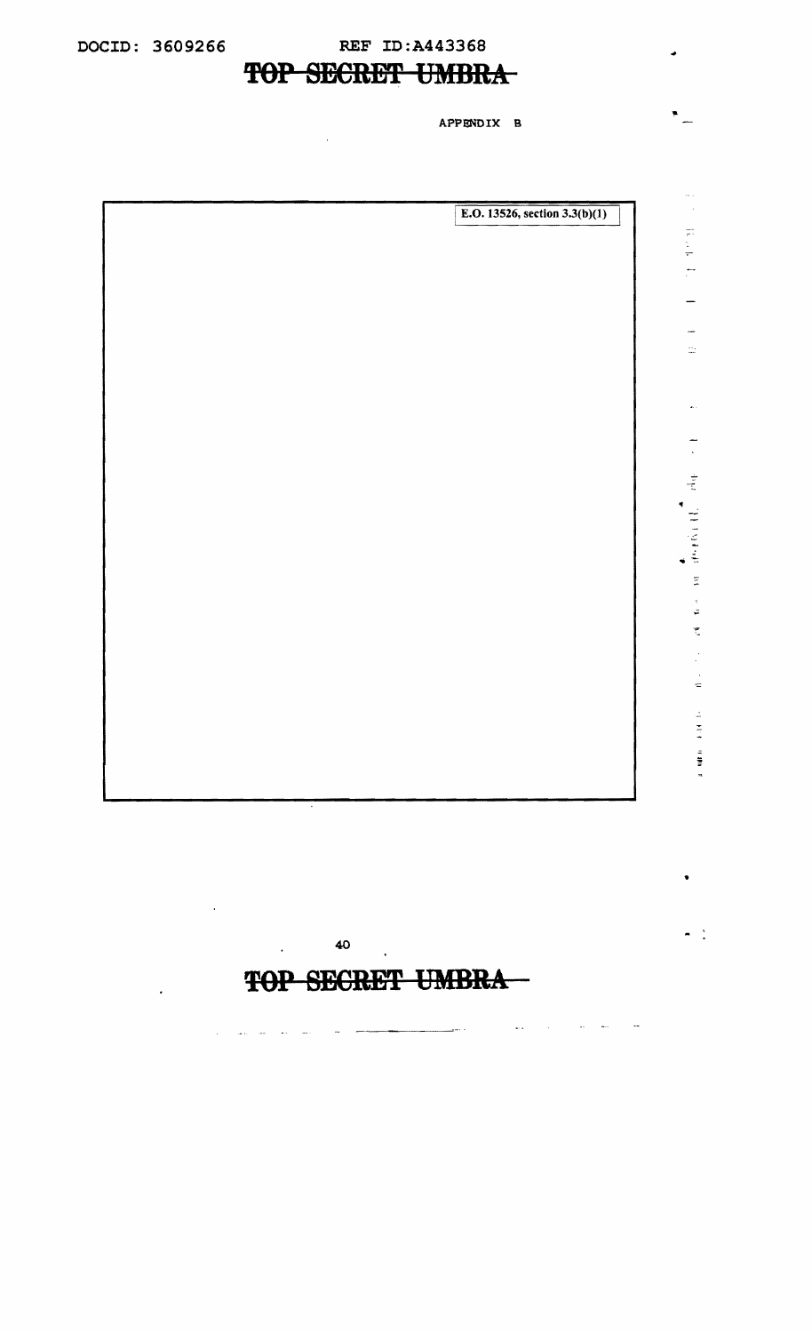$\omega_{\rm{c}}$  .  $\sim 10^7$   $\sim 100$  km  $^{-1}$  . The mass  $^{-1}$ 

 $\sim$ 

40

 $\mathcal{L}$ 

and the state and the state of the state of the state of the state of the state of the state of the state of the

# **TOP SECRET UMBRA**

 $\ddot{\phantom{a}}$ 

APPENDIX B

..

•

 $\mathbb{R}^2$ 

 $\frac{1}{2}$ 

 $\frac{1}{\sqrt{2}}$ 

 $\frac{1}{2} \frac{1}{2} \frac{1}{2}$ 

 $\ddot{\phantom{a}}$ 

**RESERVATOR** RESERVE

 $\frac{1}{3}$  $\tilde{\mathfrak{m}}$ t.

- ;

 $\overline{a}$ 

 $\bullet$   $\bullet$   $\bullet$ 

 $\equiv$ 

 $\mathbb{Z}$  $\tilde{z}$ 

E.O. 13526, section  $3.3(b)(1)$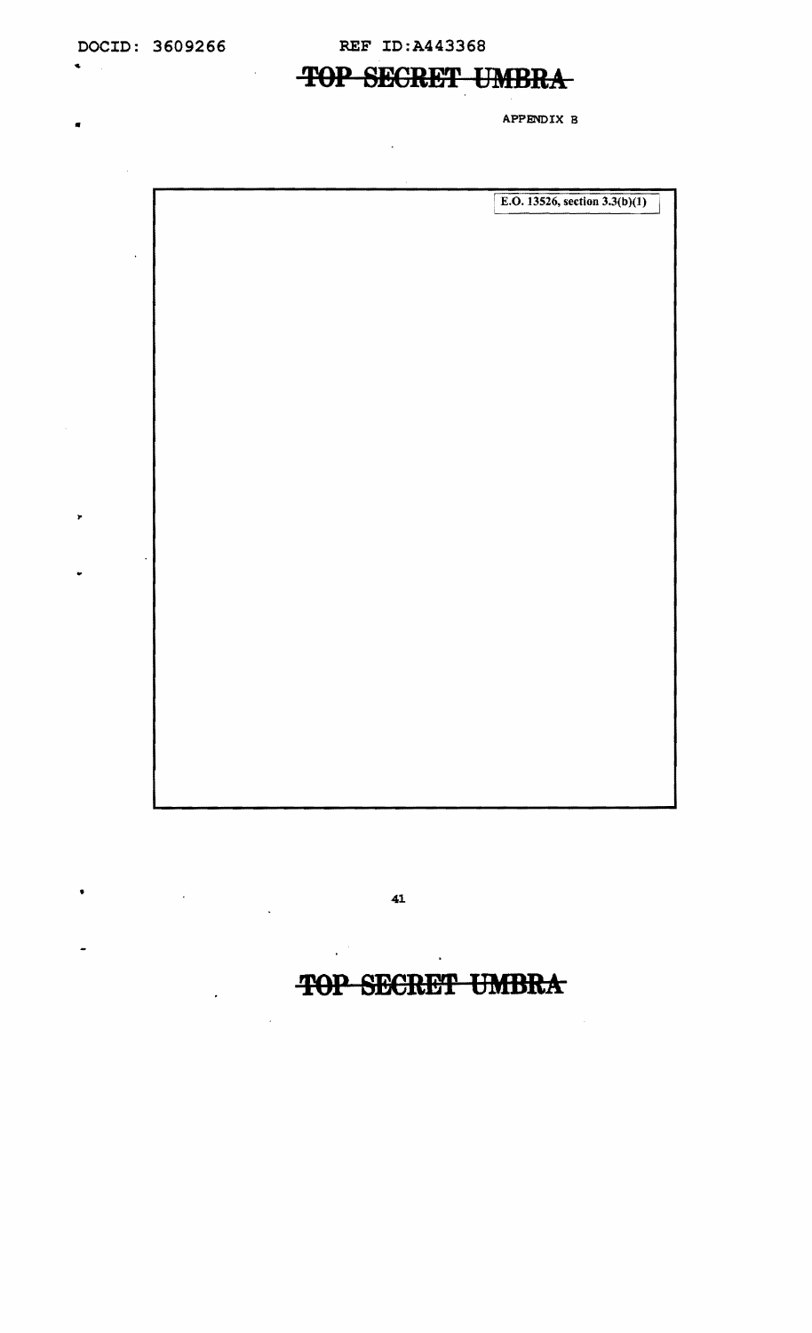$\bar{\mathcal{A}}$ 

 $\mathbf{v} = \mathbf{v}$ 

..

 $\ddot{\phantom{a}}$ 

 $\pmb{\mathcal{F}}$ 

# **TOP SECRET UMBRA**

APPENDIX B •

|                      | E.O. 13526, section $3.3(b)(1)$ |
|----------------------|---------------------------------|
|                      |                                 |
| $\ddot{\phantom{0}}$ |                                 |
|                      |                                 |
|                      |                                 |
|                      |                                 |
|                      |                                 |
|                      |                                 |
|                      |                                 |
|                      |                                 |
|                      |                                 |
|                      |                                 |
|                      |                                 |
|                      |                                 |
|                      |                                 |
|                      |                                 |
|                      |                                 |
|                      |                                 |
|                      |                                 |
|                      |                                 |
|                      |                                 |
|                      |                                 |
|                      |                                 |
|                      |                                 |
|                      |                                 |
|                      |                                 |
|                      |                                 |

•  $41$ 

 $\cdot$ 

# **TOP SECRET UMBRA**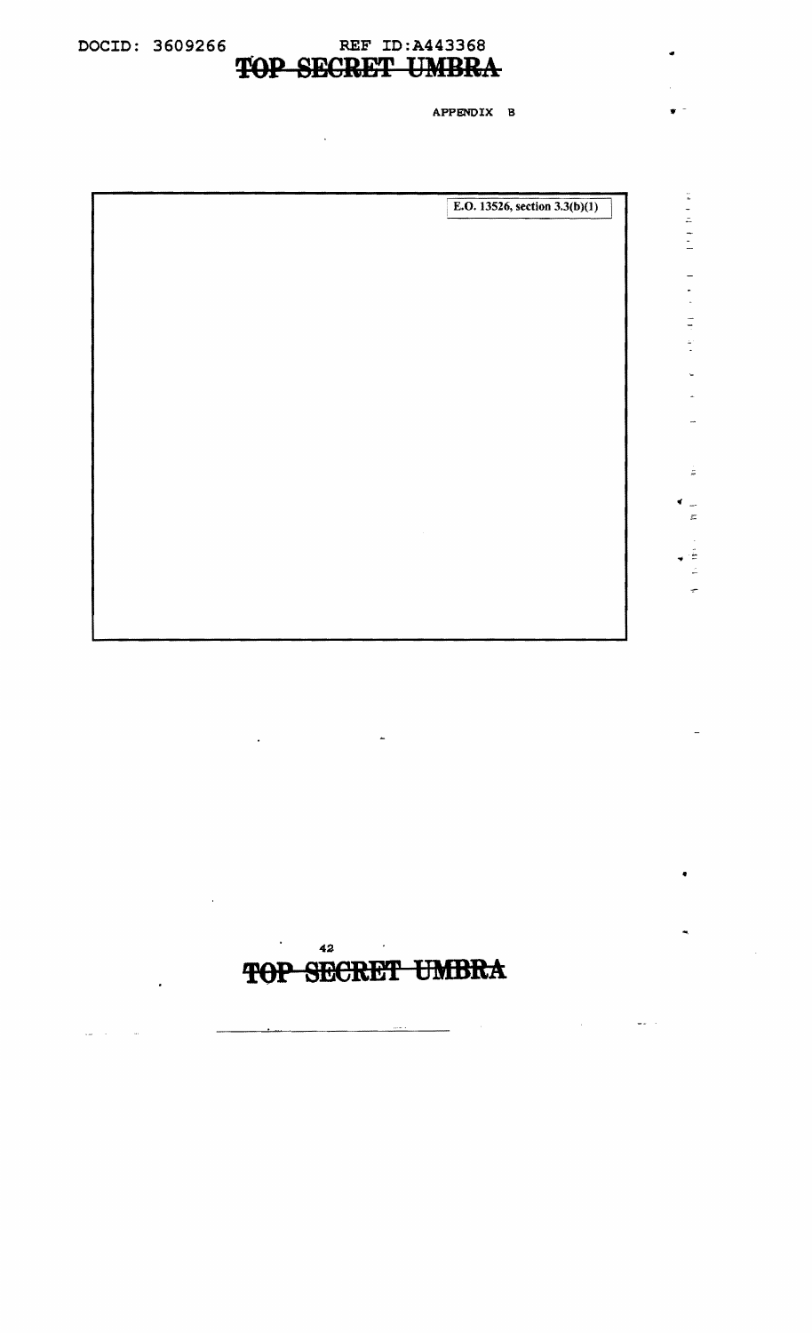## DOCID: 3609266 REF ID:A443368<br>TOP SECRET UMBR **SECRET UMBRA**

APPENDIX B

--

 $\frac{1}{m}$ 

- $\Xi$ 

÷

•

 $\bar{\mathbf{r}}$ 

 $\frac{1}{2} \frac{1}{2} \frac{1}{2} \frac{1}{2} \frac{1}{2} \frac{1}{2}$ 

| E.O. 13526, section $3.3(b)(1)$ |
|---------------------------------|
|                                 |
|                                 |
|                                 |
|                                 |
|                                 |
|                                 |
|                                 |
|                                 |
|                                 |
|                                 |
|                                 |
|                                 |
|                                 |
|                                 |
|                                 |
|                                 |
|                                 |



l,

J.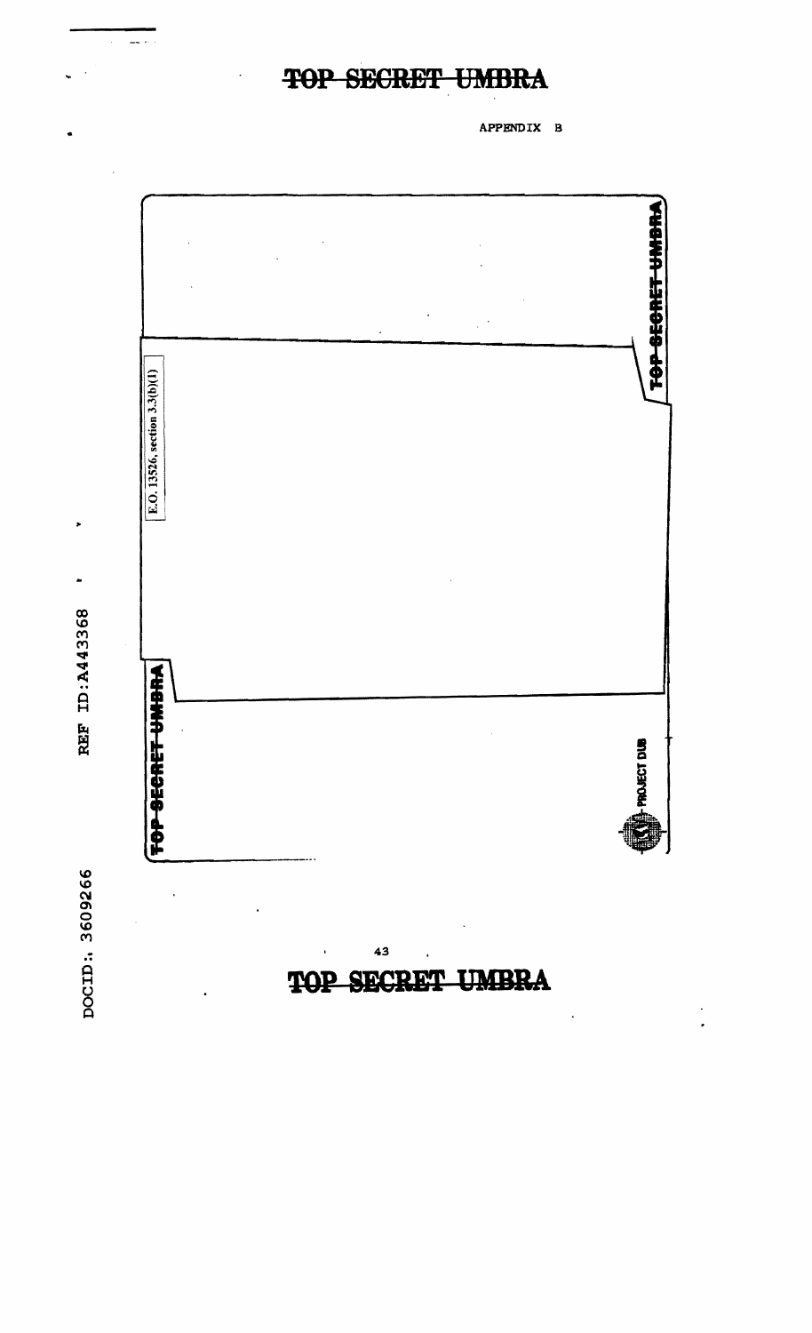DOCID: 3609266

 $\ddot{\phantom{0}}$ 

 $\ddot{\phantom{1}}$ REF ID: A443368

,

 $\frac{1}{2}$ 



43

TOP

SECRET

TOP SECRET UMBRA

APPENDIX B

TOP SECRET UNDRA

**FPROJECT DUB** 

 $\ddot{\phantom{0}}$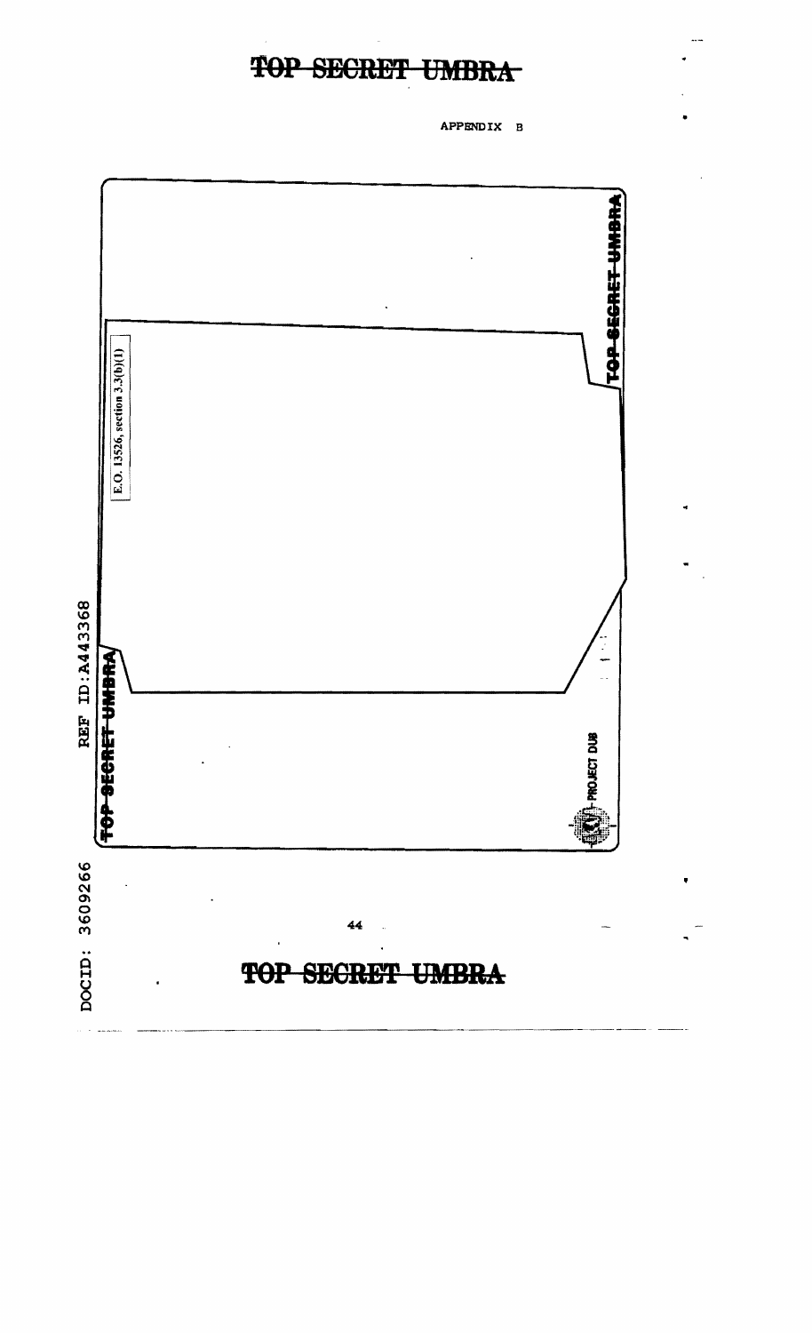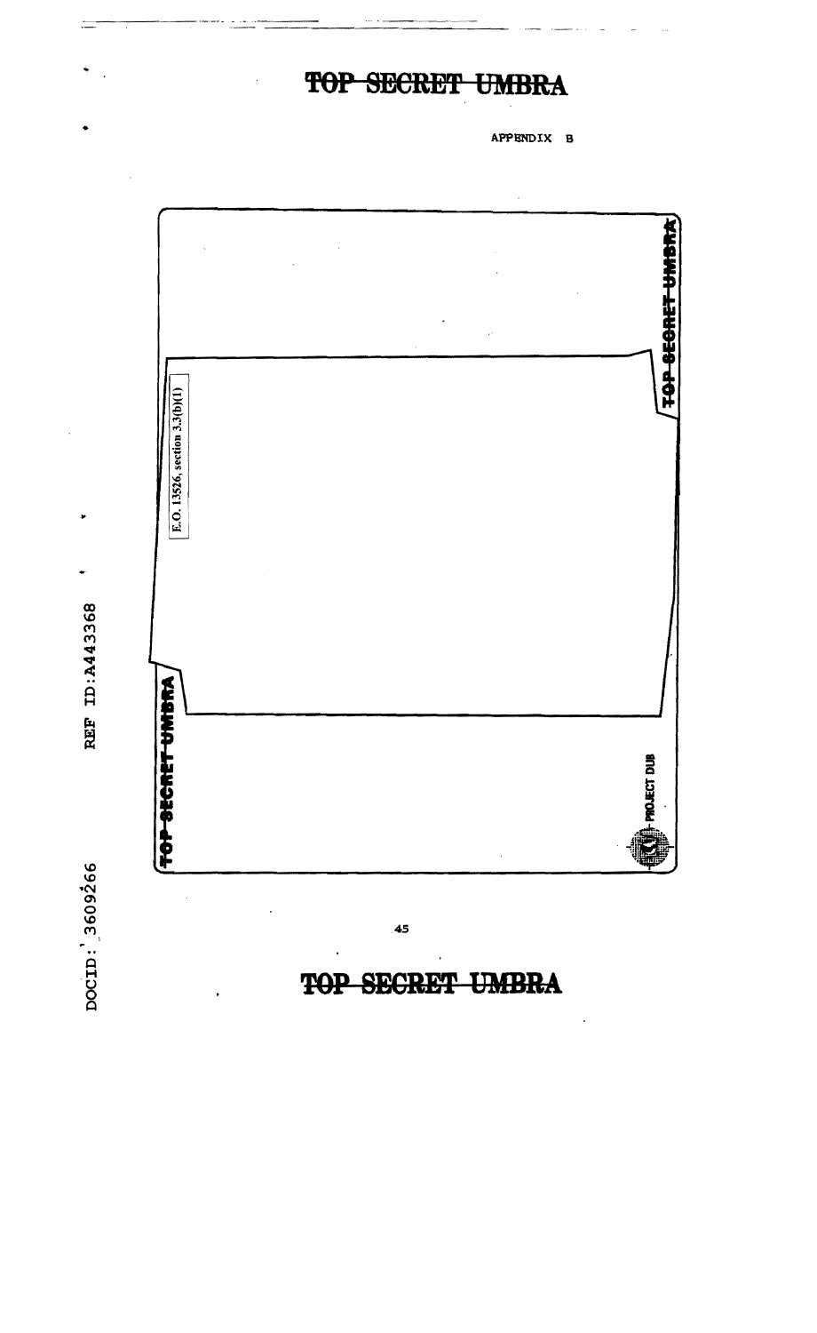

**REF ID:A443368** 

DOCID: 3609266

### **SECRET UMBRA** TOP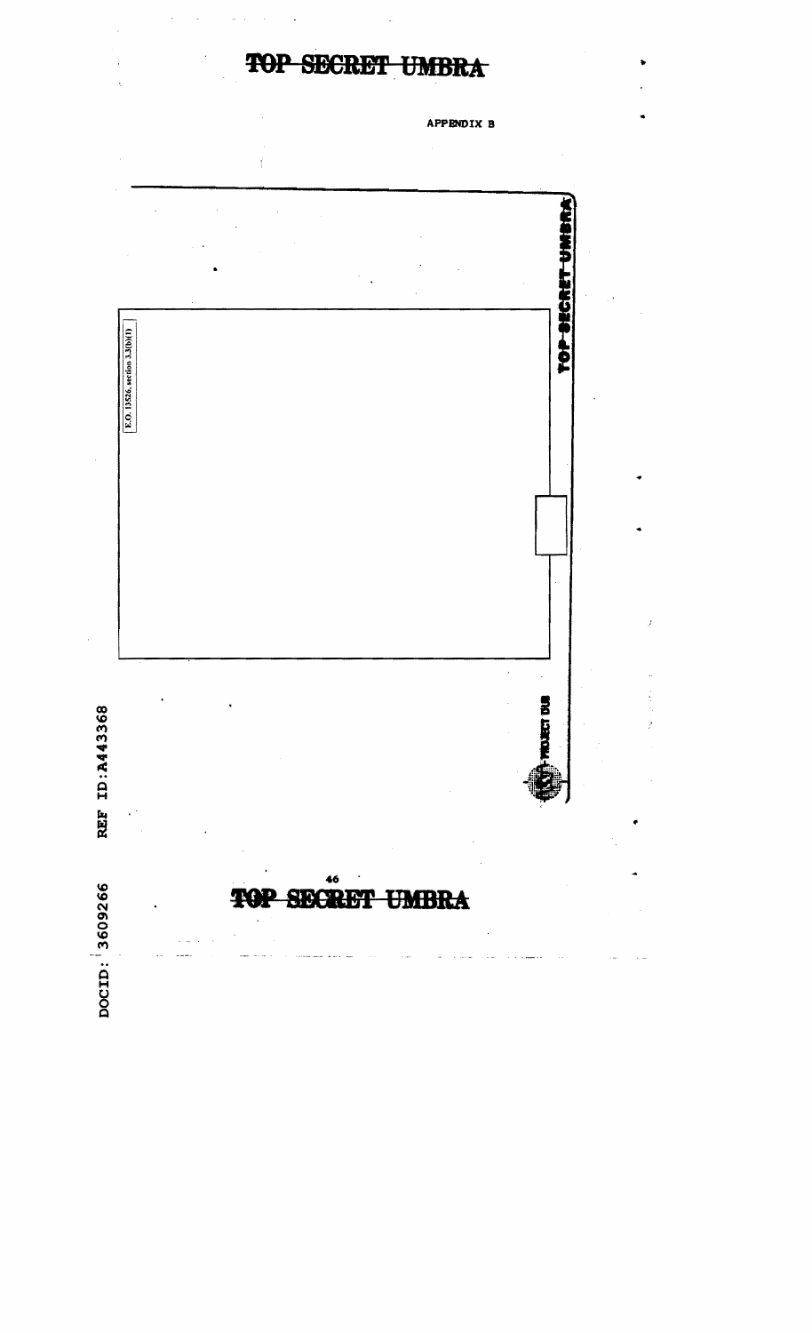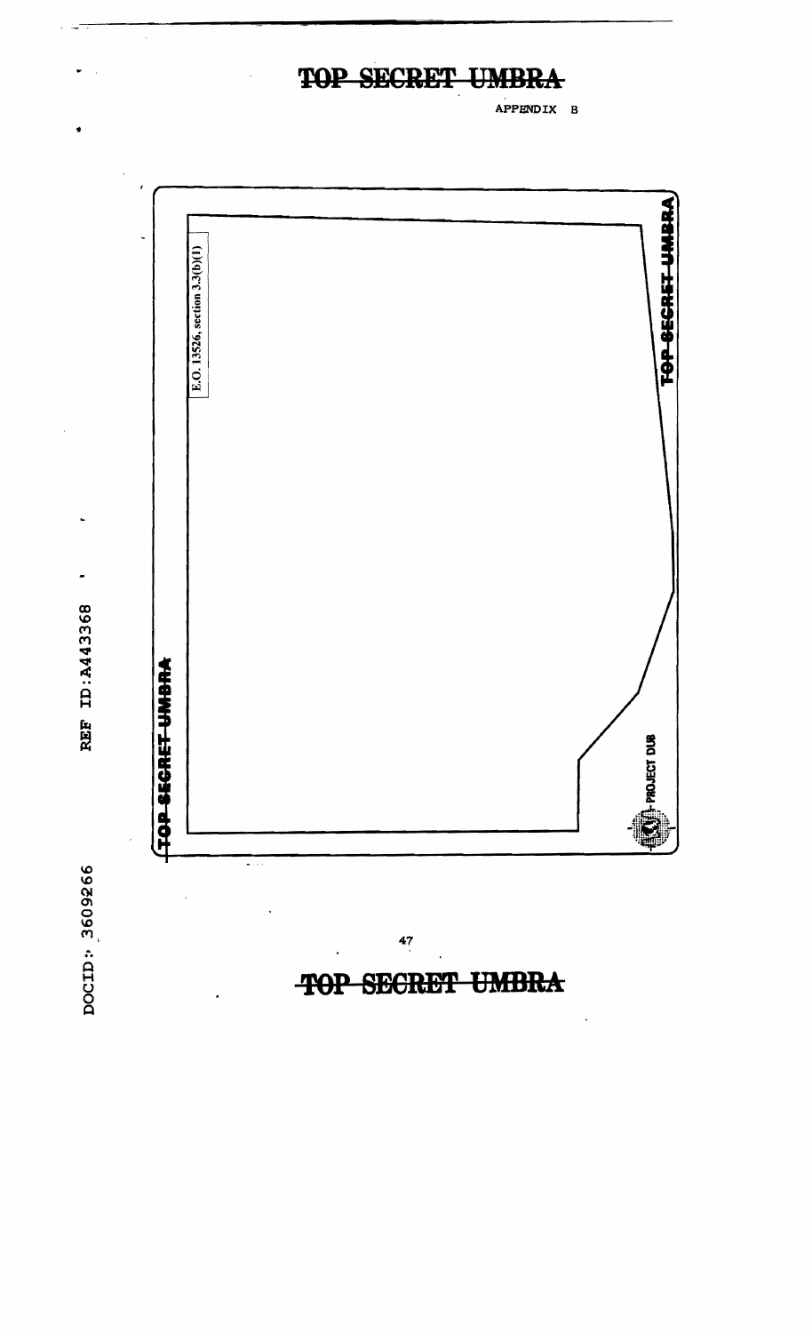APPENDIX B



**UMBRA SECRET TOP** 

 $\ddot{\phantom{0}}$ 

DOCID: 3609266

REF ID: A443368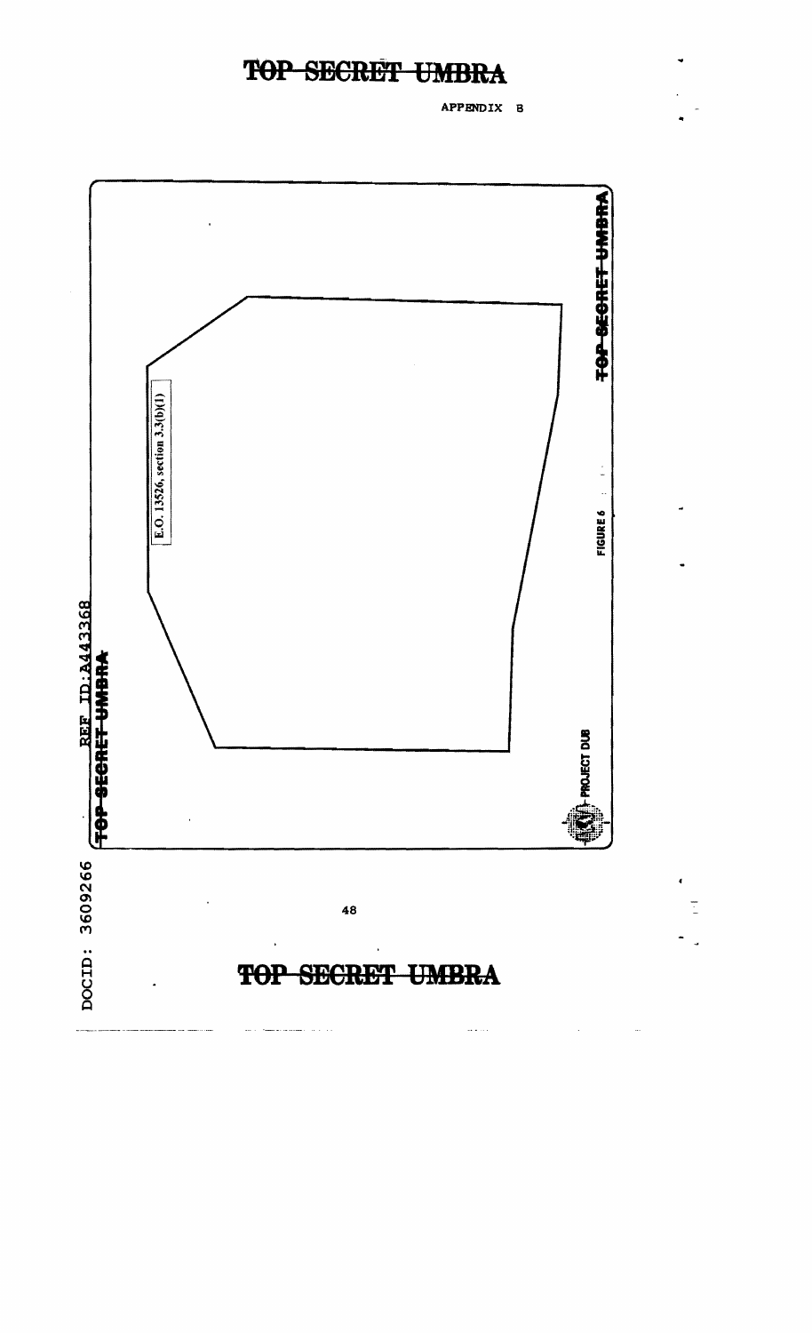APPENDIX B

Ī

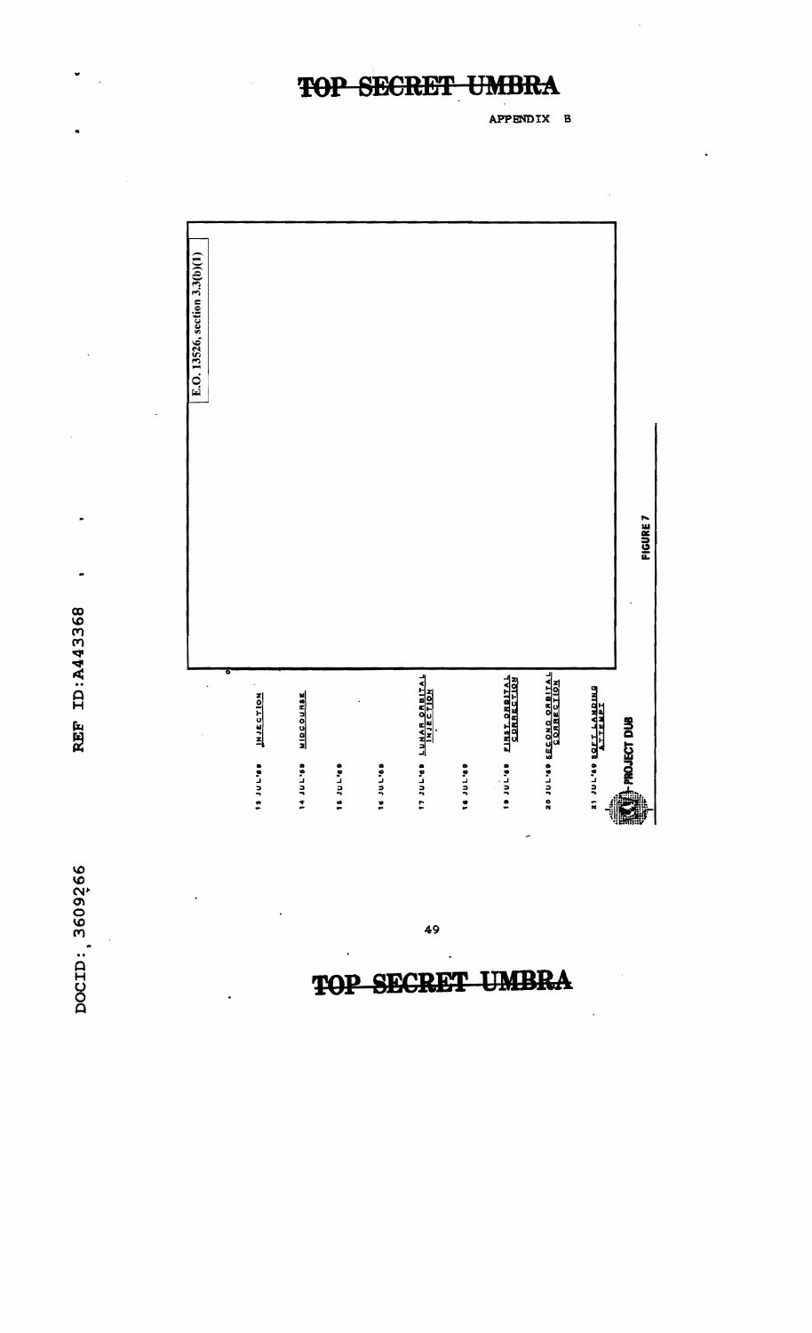APPENDIX B



REF ID:A443368

DOCID: 3609266

49

## **SECRET**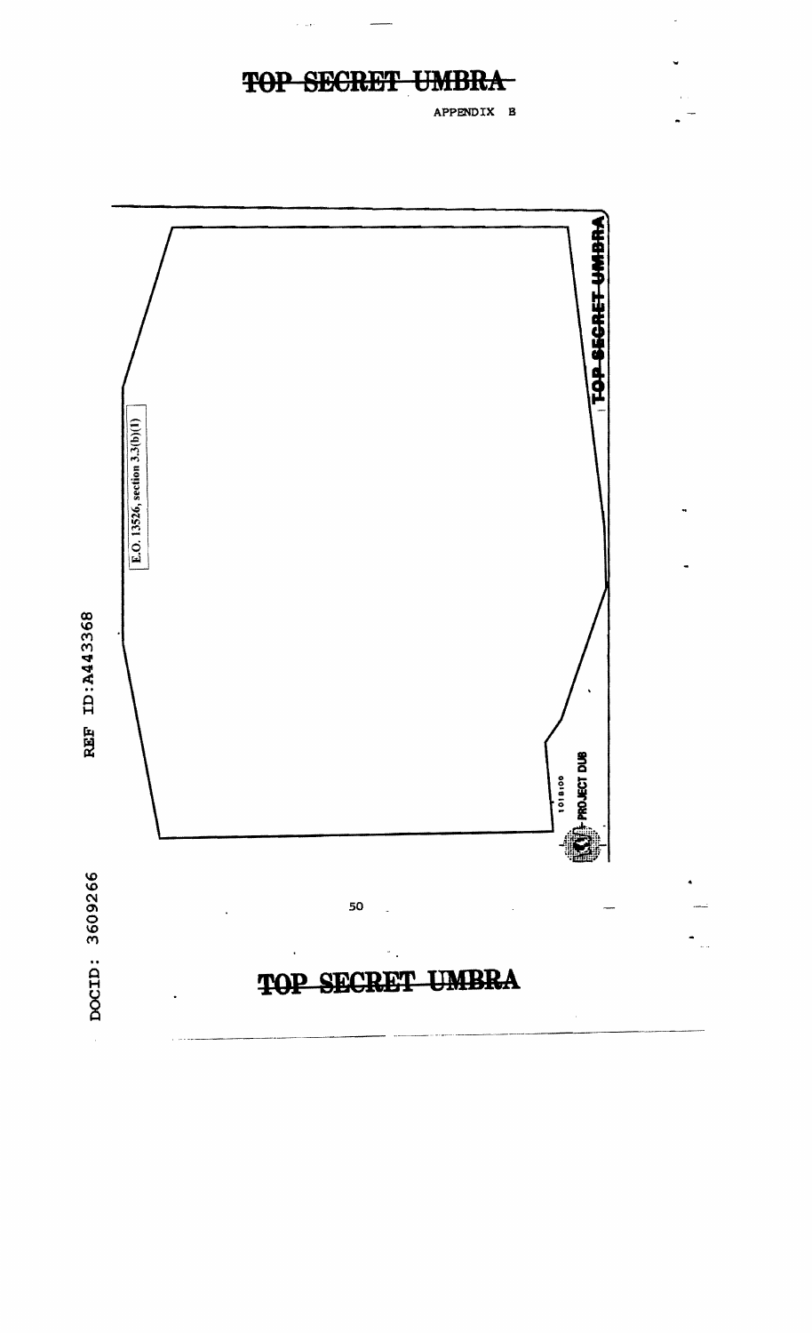#### **SECRET TOP UMBRA**

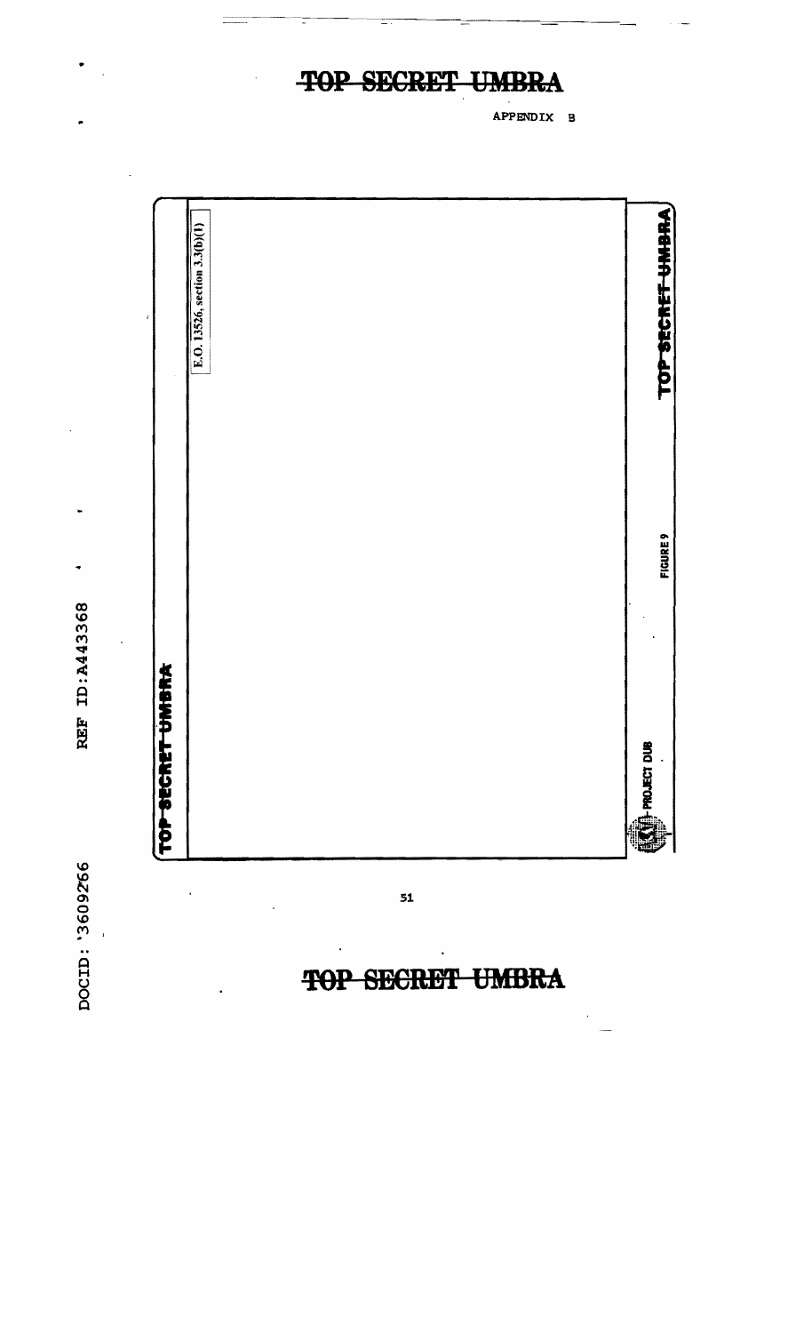DOCID: '3609266

REF ID: A443368

|                 | TOP-SECRET UMBRA              |                               |
|-----------------|-------------------------------|-------------------------------|
|                 |                               | E.O. 13526, section 3.3(b)(1) |
| <b>FIGURE 9</b> | <b>EXTERNATIONAL PROPERTY</b> | TOP SECRET UMBRA              |

 $51$ 

P

 $\mathbf{H}$ 

**SECRET UMBRA** 

APPENDIX B

## TOP SECRET UMBR А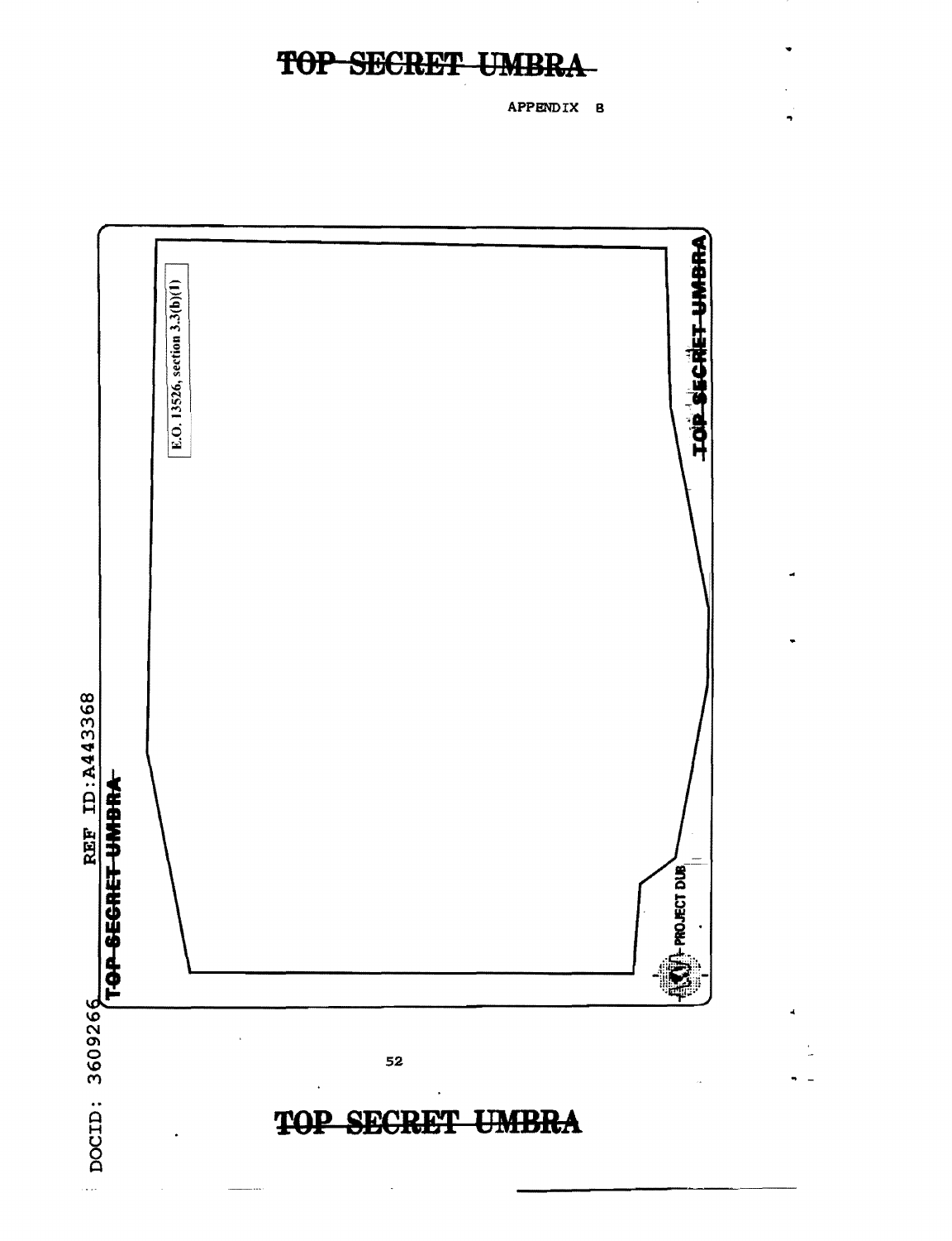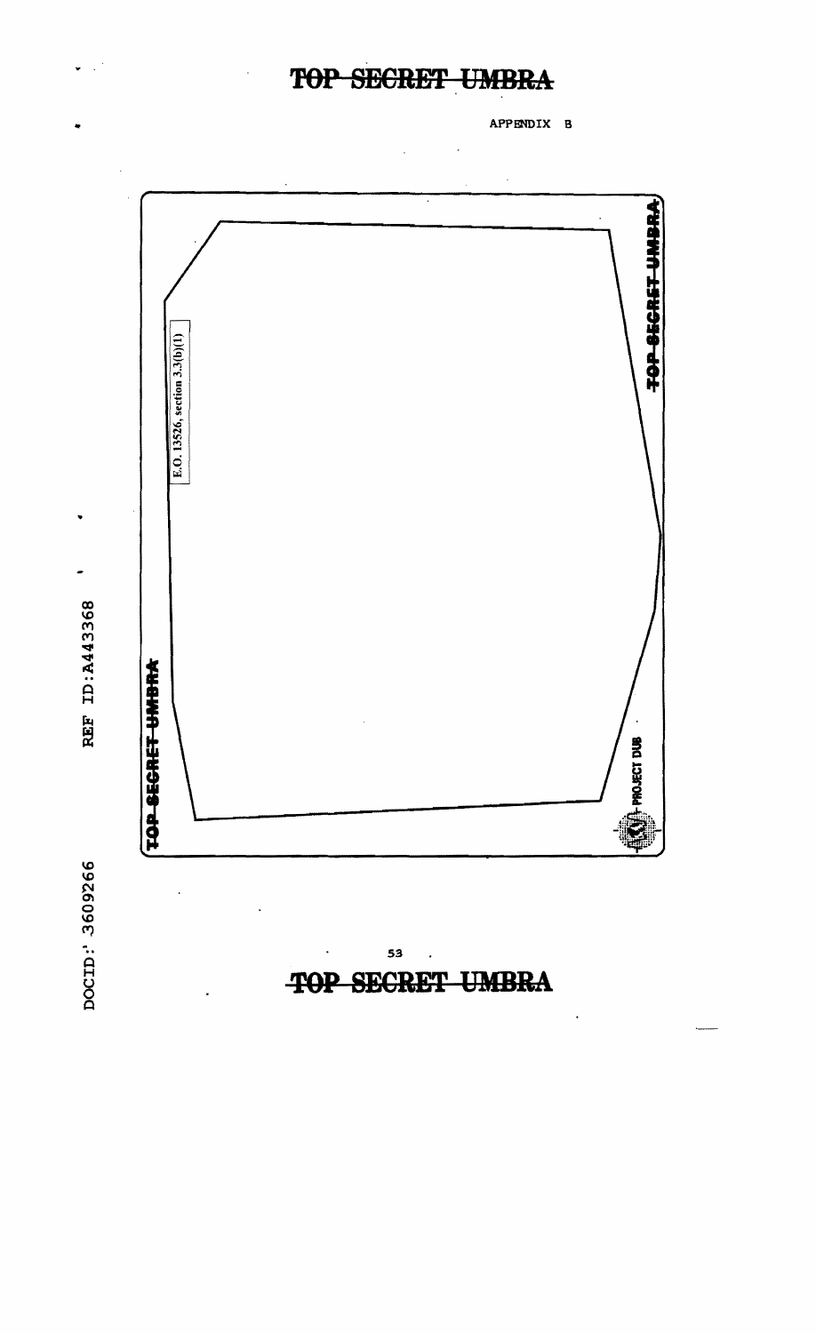.. APPENDIX B



REF ID: A443368

..

U  $\bar{\mathcal{A}}$ 

> ..  $\mathbf{a}$ H<br>O<br>O Ā

53 .

ï

**TOP SECRET UMBRA** 

 $\ddot{\phantom{0}}$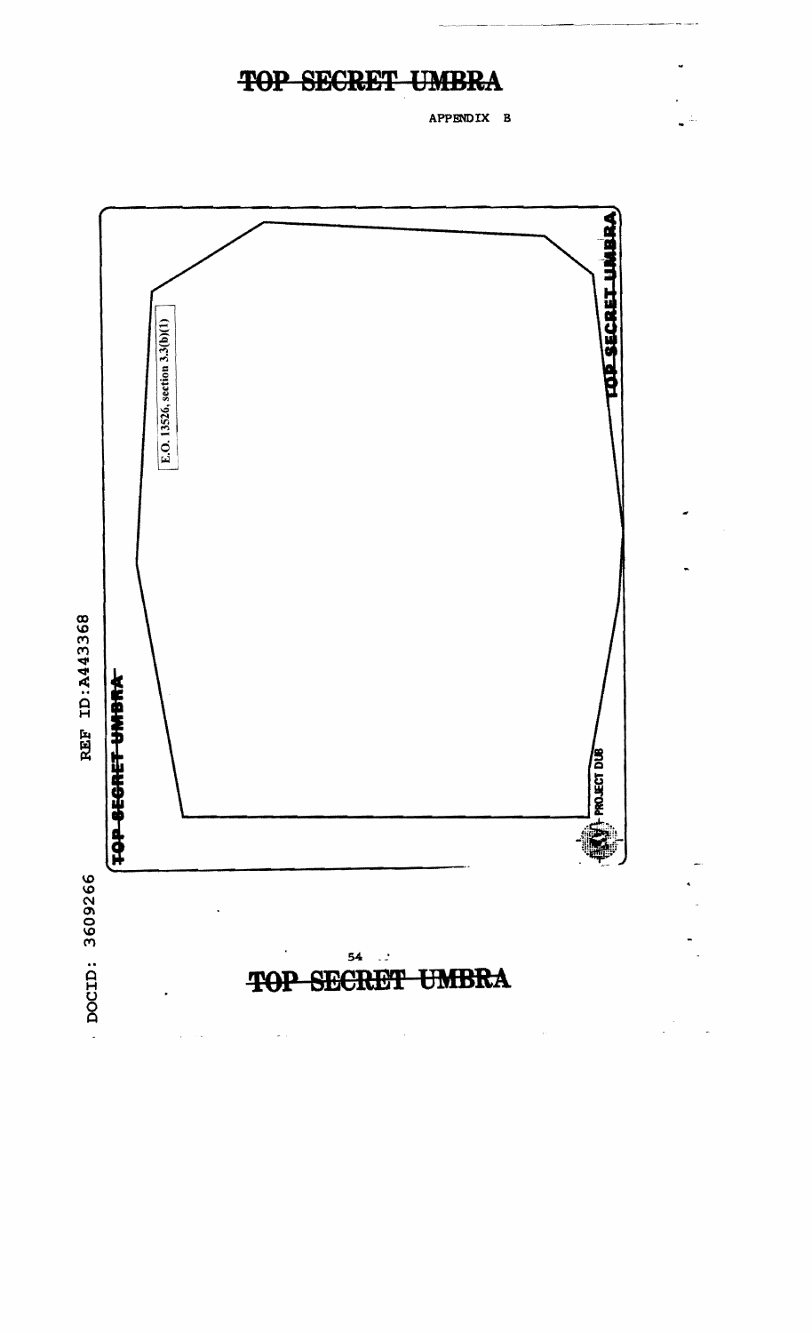APPBNDIX B

 $\overline{\phantom{a}}$ 

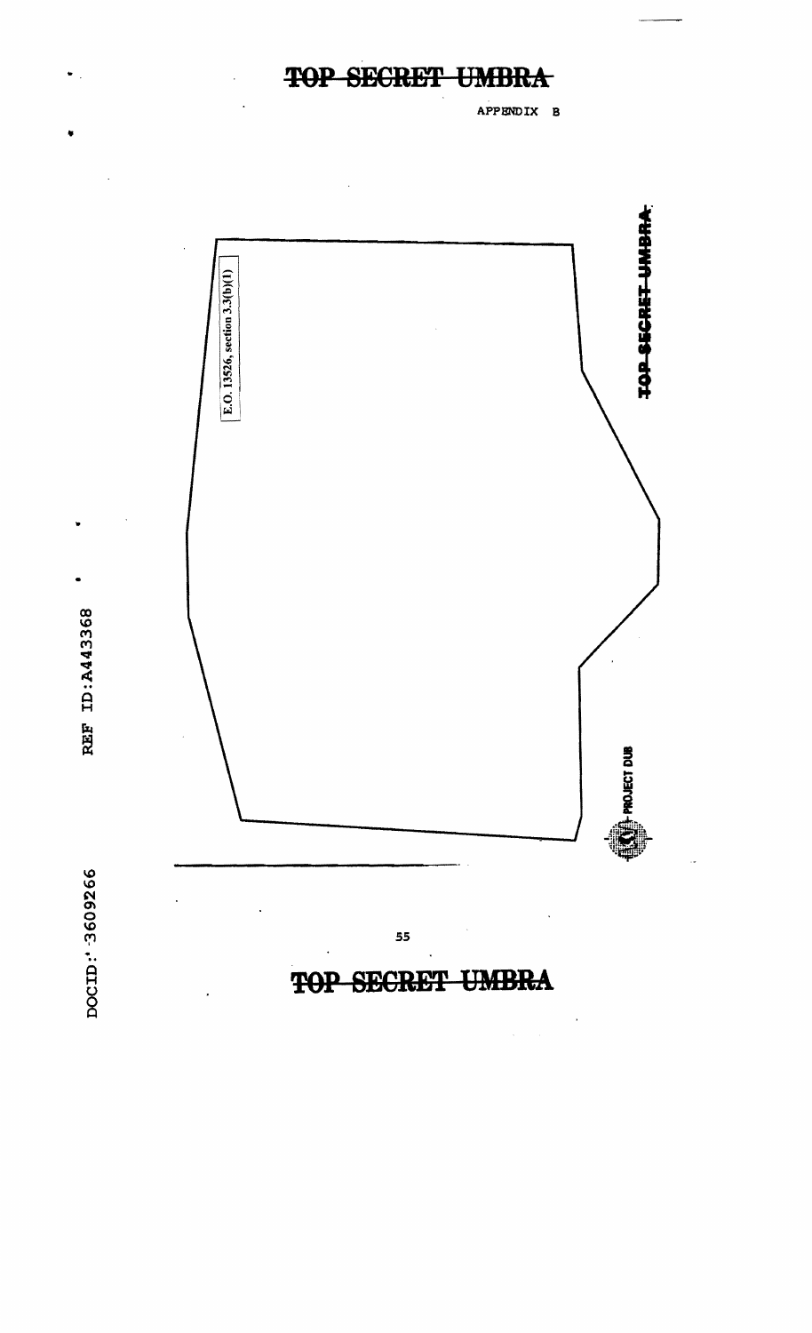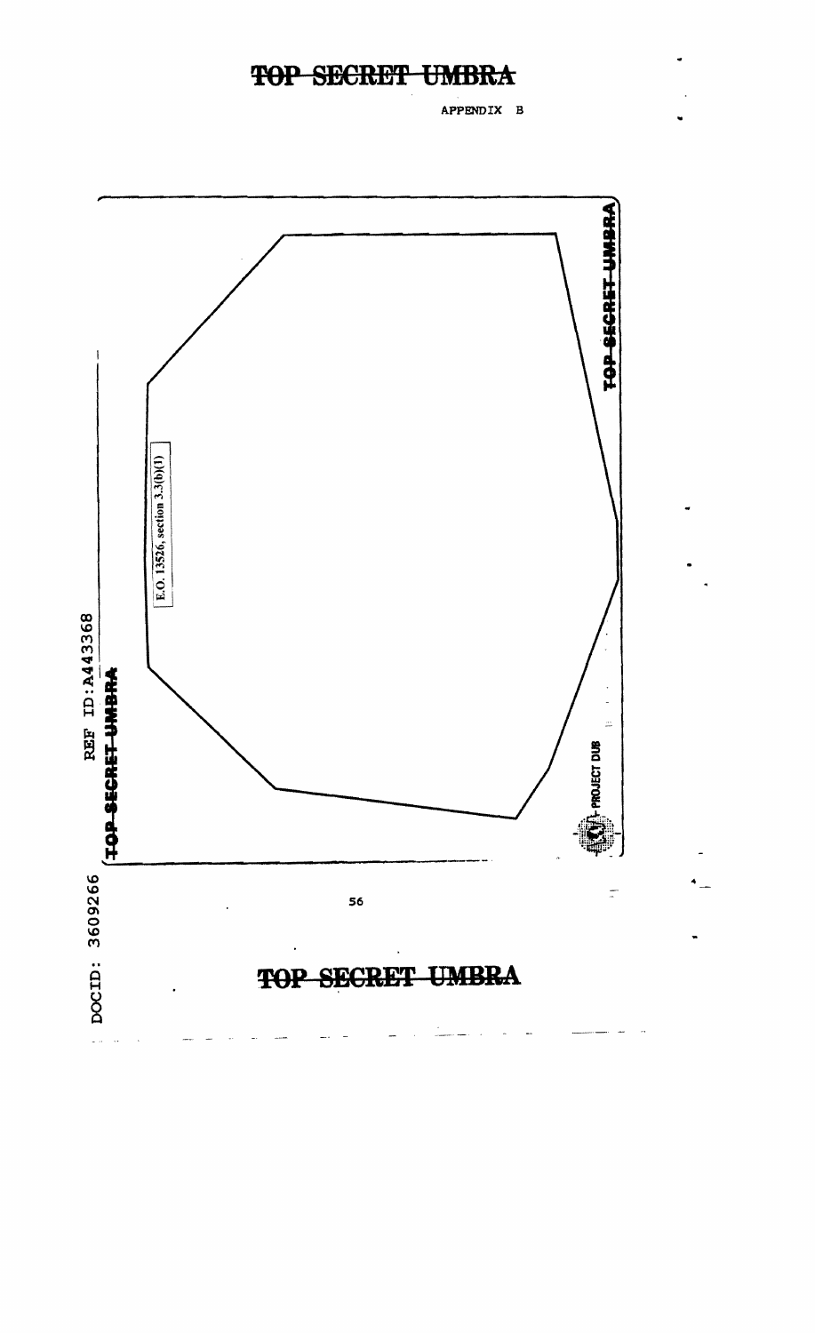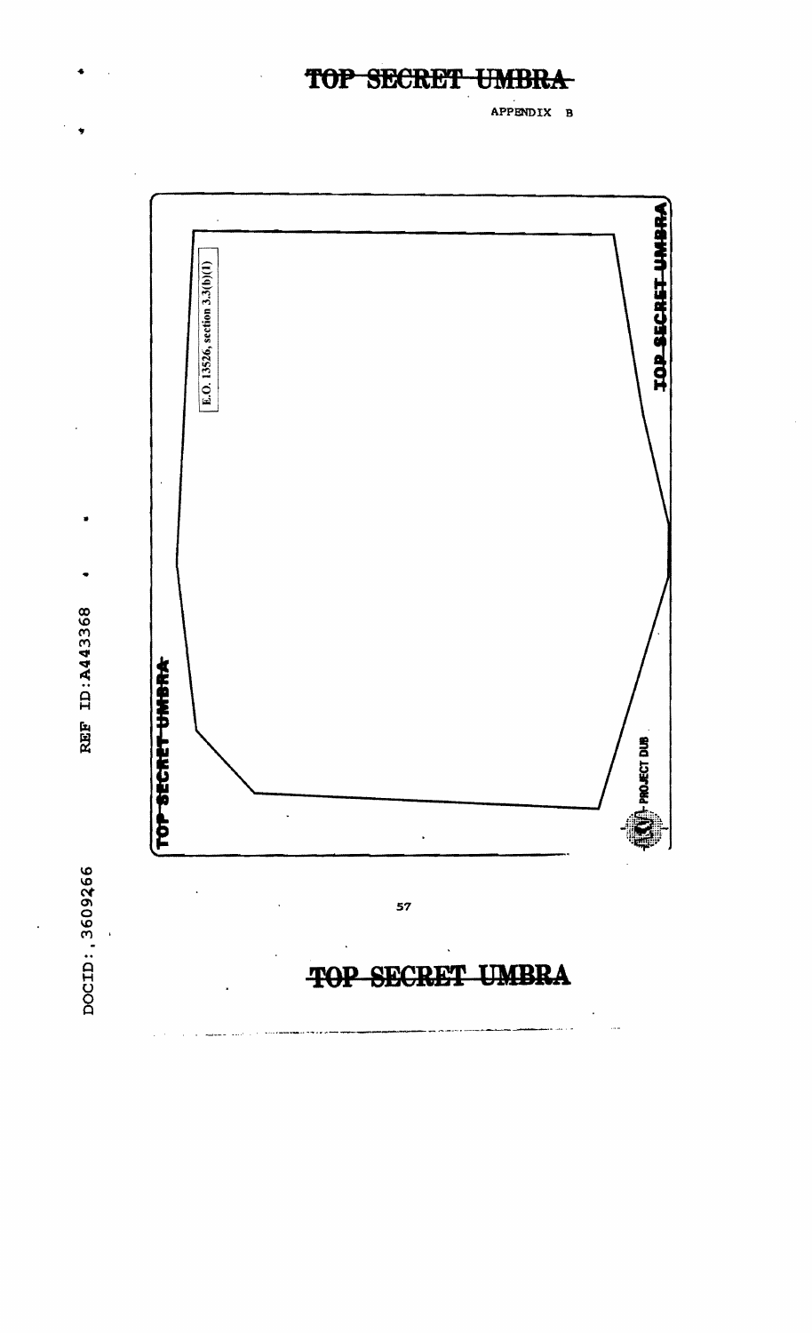TOP SECRET **UMBR.** 

÷

 $\bullet$ 

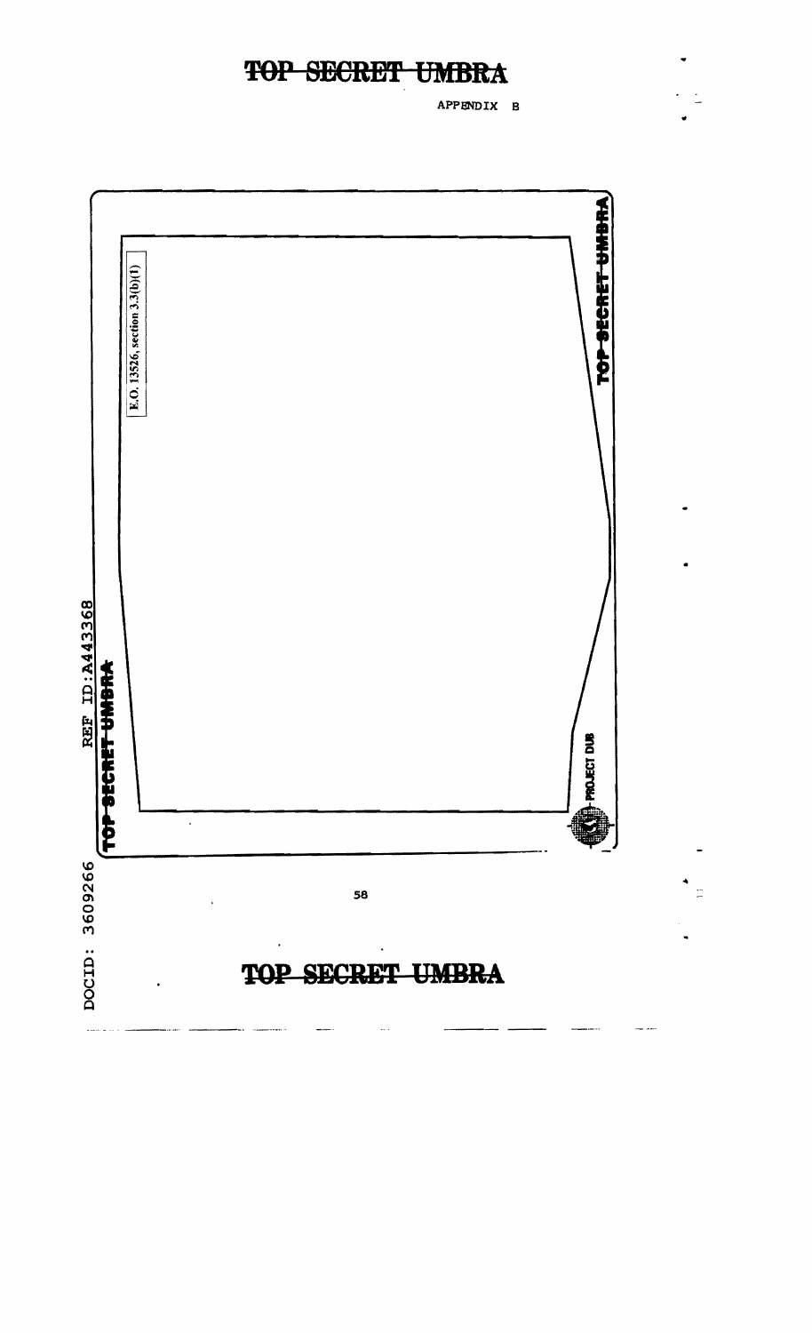APPENDIX B

 $\ddot{ }$ 

 $\frac{1}{2}$ 

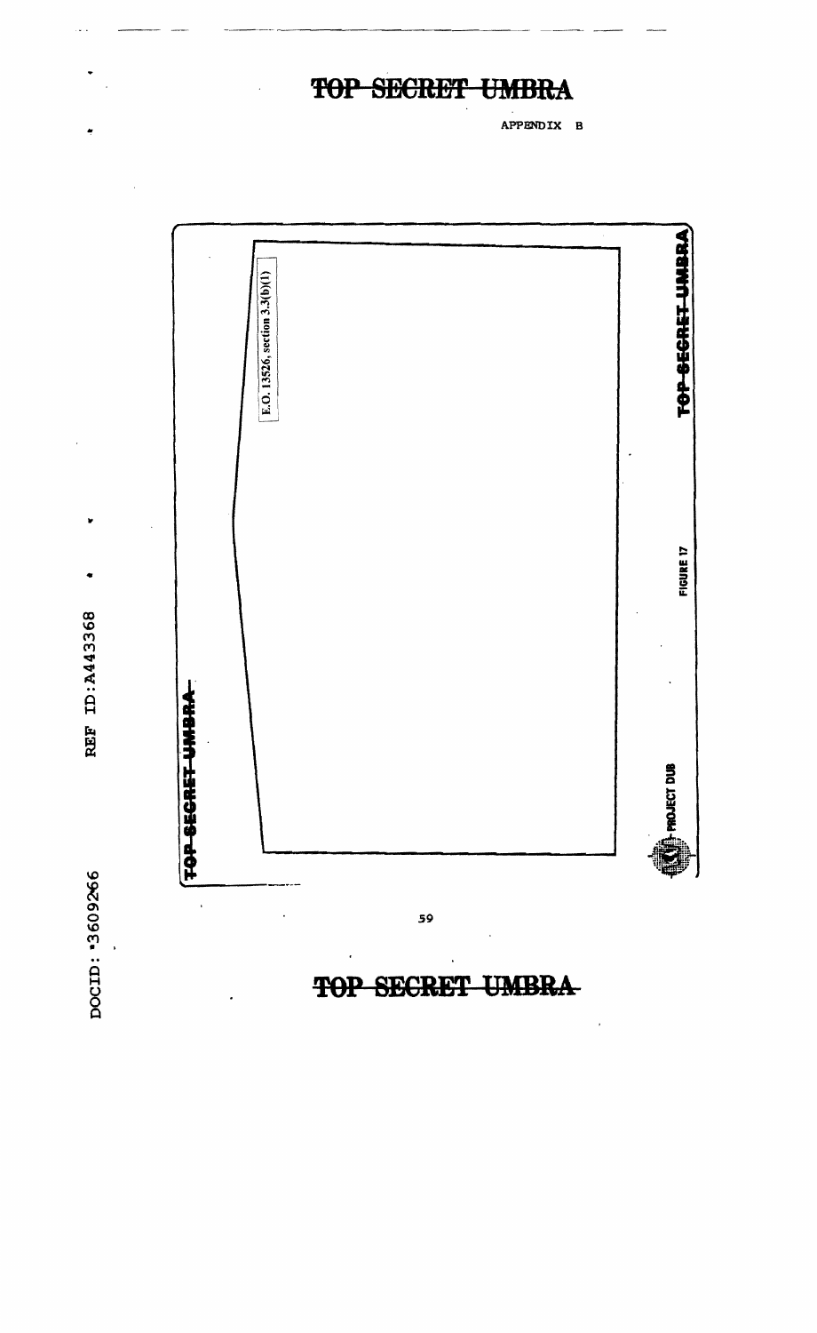